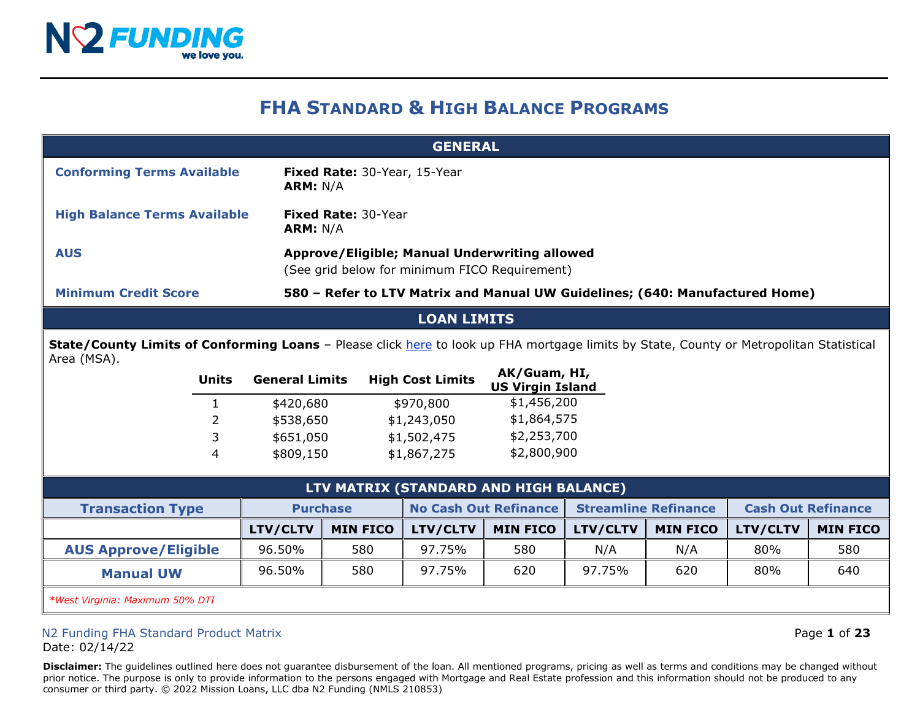

# **FHA STANDARD & HIGH BALANCE PROGRAMS**

| <b>GENERAL</b>                      |                                                                                                |  |  |  |
|-------------------------------------|------------------------------------------------------------------------------------------------|--|--|--|
| <b>Conforming Terms Available</b>   | <b>Fixed Rate: 30-Year, 15-Year</b><br><b>ARM: N/A</b>                                         |  |  |  |
| <b>High Balance Terms Available</b> | <b>Fixed Rate: 30-Year</b><br><b>ARM: N/A</b>                                                  |  |  |  |
| <b>AUS</b>                          | Approve/Eligible; Manual Underwriting allowed<br>(See grid below for minimum FICO Requirement) |  |  |  |
| <b>Minimum Credit Score</b>         | 580 - Refer to LTV Matrix and Manual UW Guidelines; (640: Manufactured Home)                   |  |  |  |

#### **LOAN LIMITS**

**State/County Limits of Conforming Loans** – Please click [here](https://entp.hud.gov/idapp/html/hicostlook.cfm) to look up FHA mortgage limits by State, County or Metropolitan Statistical Area (MSA).

| Units | <b>General Limits</b> | <b>High Cost Limits</b> | AK/Guam, HI,<br><b>US Virgin Island</b> |
|-------|-----------------------|-------------------------|-----------------------------------------|
|       | \$420,680             | \$970,800               | \$1,456,200                             |
| 2     | \$538,650             | \$1,243,050             | \$1,864,575                             |
| 3     | \$651,050             | \$1,502,475             | \$2,253,700                             |
| 4     | \$809,150             | \$1,867,275             | \$2,800,900                             |
|       |                       |                         |                                         |

| LTV MATRIX (STANDARD AND HIGH BALANCE) |                 |                 |                              |                 |                             |                 |                           |                 |
|----------------------------------------|-----------------|-----------------|------------------------------|-----------------|-----------------------------|-----------------|---------------------------|-----------------|
| <b>Transaction Type</b>                | <b>Purchase</b> |                 | <b>No Cash Out Refinance</b> |                 | <b>Streamline Refinance</b> |                 | <b>Cash Out Refinance</b> |                 |
|                                        | LTV/CLTV        | <b>MIN FICO</b> | <b>LTV/CLTV</b>              | <b>MIN FICO</b> | <b>LTV/CLTV</b>             | <b>MIN FICO</b> | LTV/CLTV                  | <b>MIN FICO</b> |
| <b>AUS Approve/Eligible</b>            | 96.50%          | 580             | 97.75%                       | 580             | N/A                         | N/A             | 80%                       | 580             |
| <b>Manual UW</b>                       | 96.50%          | 580             | 97.75%                       | 620             | 97.75%                      | 620             | 80%                       | 640             |
| $-0.01$                                |                 |                 |                              |                 |                             |                 |                           |                 |

*\*West Virginia: Maximum 50% DTI*

## N2 Funding FHA Standard Product Matrix Page **1** of **23**

Date: 02/14/22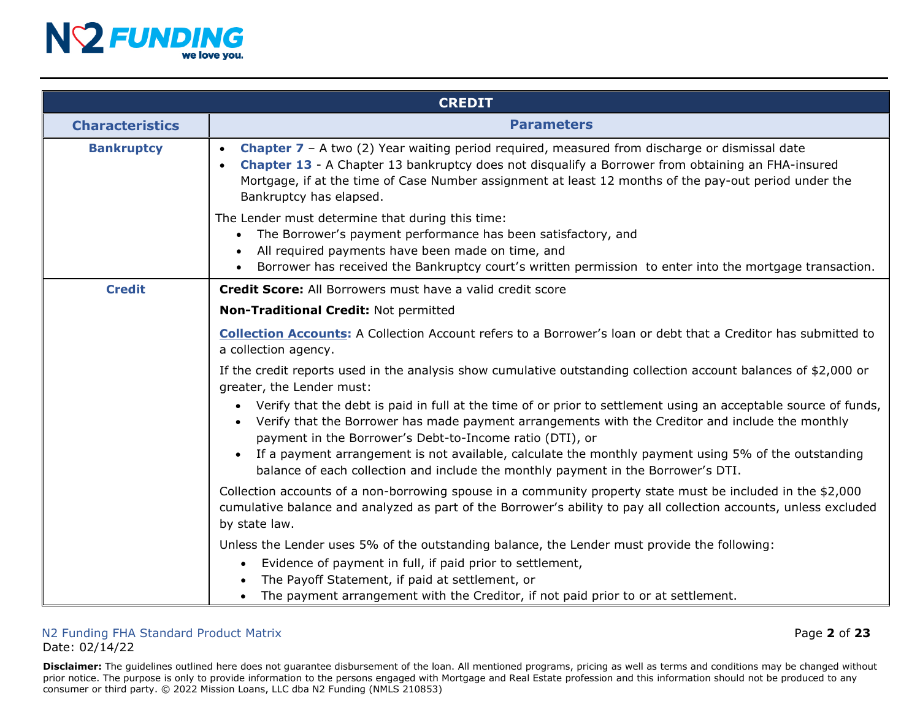

|                        | <b>CREDIT</b>                                                                                                                                                                                                                                                                                                                                                                               |
|------------------------|---------------------------------------------------------------------------------------------------------------------------------------------------------------------------------------------------------------------------------------------------------------------------------------------------------------------------------------------------------------------------------------------|
| <b>Characteristics</b> | <b>Parameters</b>                                                                                                                                                                                                                                                                                                                                                                           |
| <b>Bankruptcy</b>      | <b>Chapter 7</b> – A two (2) Year waiting period required, measured from discharge or dismissal date<br>Chapter 13 - A Chapter 13 bankruptcy does not disqualify a Borrower from obtaining an FHA-insured<br>Mortgage, if at the time of Case Number assignment at least 12 months of the pay-out period under the<br>Bankruptcy has elapsed.                                               |
|                        | The Lender must determine that during this time:<br>The Borrower's payment performance has been satisfactory, and<br>$\bullet$<br>All required payments have been made on time, and<br>$\bullet$<br>Borrower has received the Bankruptcy court's written permission to enter into the mortgage transaction.                                                                                 |
| <b>Credit</b>          | Credit Score: All Borrowers must have a valid credit score                                                                                                                                                                                                                                                                                                                                  |
|                        | Non-Traditional Credit: Not permitted                                                                                                                                                                                                                                                                                                                                                       |
|                        | <b>Collection Accounts:</b> A Collection Account refers to a Borrower's loan or debt that a Creditor has submitted to<br>a collection agency.                                                                                                                                                                                                                                               |
|                        | If the credit reports used in the analysis show cumulative outstanding collection account balances of $$2,000$ or<br>greater, the Lender must:                                                                                                                                                                                                                                              |
|                        | • Verify that the debt is paid in full at the time of or prior to settlement using an acceptable source of funds,<br>• Verify that the Borrower has made payment arrangements with the Creditor and include the monthly<br>payment in the Borrower's Debt-to-Income ratio (DTI), or<br>If a payment arrangement is not available, calculate the monthly payment using 5% of the outstanding |
|                        | balance of each collection and include the monthly payment in the Borrower's DTI.                                                                                                                                                                                                                                                                                                           |
|                        | Collection accounts of a non-borrowing spouse in a community property state must be included in the \$2,000<br>cumulative balance and analyzed as part of the Borrower's ability to pay all collection accounts, unless excluded<br>by state law.                                                                                                                                           |
|                        | Unless the Lender uses 5% of the outstanding balance, the Lender must provide the following:                                                                                                                                                                                                                                                                                                |
|                        | Evidence of payment in full, if paid prior to settlement,                                                                                                                                                                                                                                                                                                                                   |
|                        | The Payoff Statement, if paid at settlement, or<br>The payment arrangement with the Creditor, if not paid prior to or at settlement.                                                                                                                                                                                                                                                        |

#### N2 Funding FHA Standard Product Matrix Page **2** of **23** Date: 02/14/22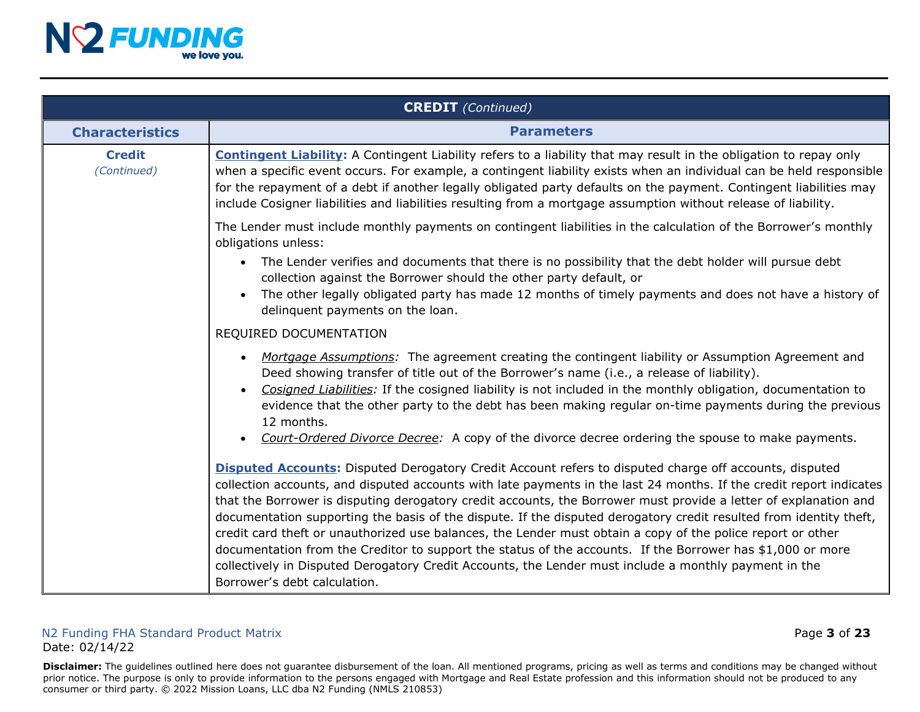

|                              | <b>CREDIT</b> (Continued)                                                                                                                                                                                                                                                                                                                                                                                                                                                                                                                                                                                                                                                                                                                                                                                                                            |
|------------------------------|------------------------------------------------------------------------------------------------------------------------------------------------------------------------------------------------------------------------------------------------------------------------------------------------------------------------------------------------------------------------------------------------------------------------------------------------------------------------------------------------------------------------------------------------------------------------------------------------------------------------------------------------------------------------------------------------------------------------------------------------------------------------------------------------------------------------------------------------------|
| <b>Characteristics</b>       | <b>Parameters</b>                                                                                                                                                                                                                                                                                                                                                                                                                                                                                                                                                                                                                                                                                                                                                                                                                                    |
| <b>Credit</b><br>(Continued) | <b>Contingent Liability:</b> A Contingent Liability refers to a liability that may result in the obligation to repay only<br>when a specific event occurs. For example, a contingent liability exists when an individual can be held responsible<br>for the repayment of a debt if another legally obligated party defaults on the payment. Contingent liabilities may<br>include Cosigner liabilities and liabilities resulting from a mortgage assumption without release of liability.                                                                                                                                                                                                                                                                                                                                                            |
|                              | The Lender must include monthly payments on contingent liabilities in the calculation of the Borrower's monthly<br>obligations unless:                                                                                                                                                                                                                                                                                                                                                                                                                                                                                                                                                                                                                                                                                                               |
|                              | The Lender verifies and documents that there is no possibility that the debt holder will pursue debt<br>collection against the Borrower should the other party default, or<br>The other legally obligated party has made 12 months of timely payments and does not have a history of<br>delinquent payments on the loan.                                                                                                                                                                                                                                                                                                                                                                                                                                                                                                                             |
|                              | REQUIRED DOCUMENTATION                                                                                                                                                                                                                                                                                                                                                                                                                                                                                                                                                                                                                                                                                                                                                                                                                               |
|                              | Mortgage Assumptions: The agreement creating the contingent liability or Assumption Agreement and<br>Deed showing transfer of title out of the Borrower's name (i.e., a release of liability).<br>Cosigned Liabilities: If the cosigned liability is not included in the monthly obligation, documentation to<br>evidence that the other party to the debt has been making regular on-time payments during the previous<br>12 months.<br>Court-Ordered Divorce Decree: A copy of the divorce decree ordering the spouse to make payments.                                                                                                                                                                                                                                                                                                            |
|                              | <b>Disputed Accounts:</b> Disputed Derogatory Credit Account refers to disputed charge off accounts, disputed<br>collection accounts, and disputed accounts with late payments in the last 24 months. If the credit report indicates<br>that the Borrower is disputing derogatory credit accounts, the Borrower must provide a letter of explanation and<br>documentation supporting the basis of the dispute. If the disputed derogatory credit resulted from identity theft,<br>credit card theft or unauthorized use balances, the Lender must obtain a copy of the police report or other<br>documentation from the Creditor to support the status of the accounts. If the Borrower has \$1,000 or more<br>collectively in Disputed Derogatory Credit Accounts, the Lender must include a monthly payment in the<br>Borrower's debt calculation. |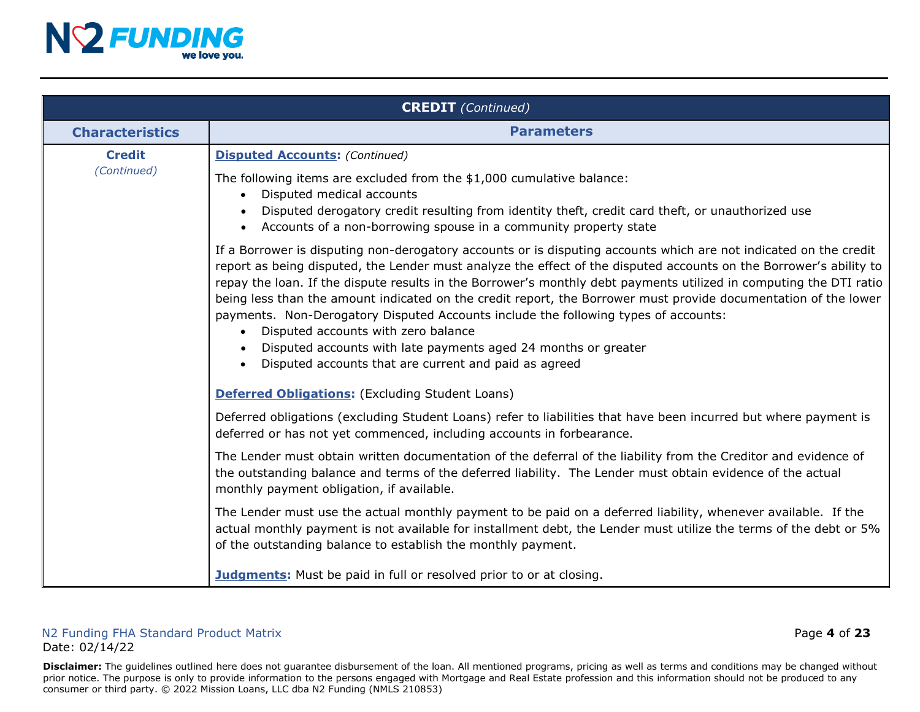

|                        | <b>CREDIT</b> (Continued)                                                                                                                                                                                                                                                                                                                                                                                                                                                                                                                                                                                                                                                                                                                              |
|------------------------|--------------------------------------------------------------------------------------------------------------------------------------------------------------------------------------------------------------------------------------------------------------------------------------------------------------------------------------------------------------------------------------------------------------------------------------------------------------------------------------------------------------------------------------------------------------------------------------------------------------------------------------------------------------------------------------------------------------------------------------------------------|
| <b>Characteristics</b> | <b>Parameters</b>                                                                                                                                                                                                                                                                                                                                                                                                                                                                                                                                                                                                                                                                                                                                      |
| <b>Credit</b>          | <b>Disputed Accounts: (Continued)</b>                                                                                                                                                                                                                                                                                                                                                                                                                                                                                                                                                                                                                                                                                                                  |
| (Continued)            | The following items are excluded from the \$1,000 cumulative balance:<br>Disputed medical accounts<br>$\bullet$<br>Disputed derogatory credit resulting from identity theft, credit card theft, or unauthorized use<br>Accounts of a non-borrowing spouse in a community property state<br>$\bullet$                                                                                                                                                                                                                                                                                                                                                                                                                                                   |
|                        | If a Borrower is disputing non-derogatory accounts or is disputing accounts which are not indicated on the credit<br>report as being disputed, the Lender must analyze the effect of the disputed accounts on the Borrower's ability to<br>repay the loan. If the dispute results in the Borrower's monthly debt payments utilized in computing the DTI ratio<br>being less than the amount indicated on the credit report, the Borrower must provide documentation of the lower<br>payments. Non-Derogatory Disputed Accounts include the following types of accounts:<br>Disputed accounts with zero balance<br>$\bullet$<br>Disputed accounts with late payments aged 24 months or greater<br>Disputed accounts that are current and paid as agreed |
|                        | <b>Deferred Obligations:</b> (Excluding Student Loans)                                                                                                                                                                                                                                                                                                                                                                                                                                                                                                                                                                                                                                                                                                 |
|                        | Deferred obligations (excluding Student Loans) refer to liabilities that have been incurred but where payment is<br>deferred or has not yet commenced, including accounts in forbearance.                                                                                                                                                                                                                                                                                                                                                                                                                                                                                                                                                              |
|                        | The Lender must obtain written documentation of the deferral of the liability from the Creditor and evidence of<br>the outstanding balance and terms of the deferred liability. The Lender must obtain evidence of the actual<br>monthly payment obligation, if available.                                                                                                                                                                                                                                                                                                                                                                                                                                                                             |
|                        | The Lender must use the actual monthly payment to be paid on a deferred liability, whenever available. If the<br>actual monthly payment is not available for installment debt, the Lender must utilize the terms of the debt or 5%<br>of the outstanding balance to establish the monthly payment.                                                                                                                                                                                                                                                                                                                                                                                                                                                     |
|                        | <b>Judgments:</b> Must be paid in full or resolved prior to or at closing.                                                                                                                                                                                                                                                                                                                                                                                                                                                                                                                                                                                                                                                                             |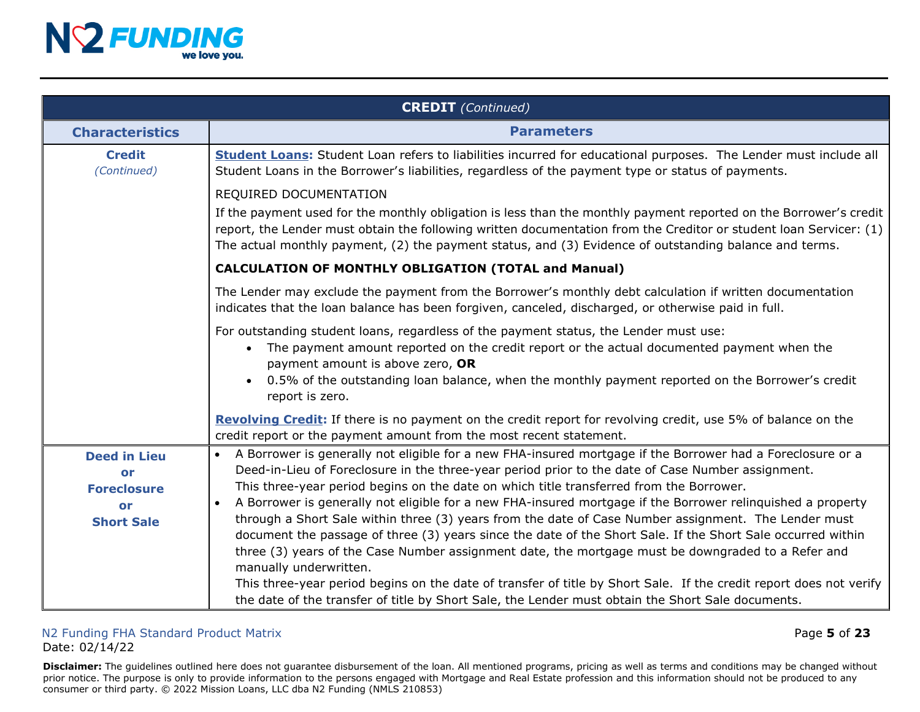

|                                                       | <b>CREDIT</b> (Continued)                                                                                                                                                                                                                                                                                                                                                                                                                                                 |
|-------------------------------------------------------|---------------------------------------------------------------------------------------------------------------------------------------------------------------------------------------------------------------------------------------------------------------------------------------------------------------------------------------------------------------------------------------------------------------------------------------------------------------------------|
| <b>Characteristics</b>                                | <b>Parameters</b>                                                                                                                                                                                                                                                                                                                                                                                                                                                         |
| <b>Credit</b><br>(Continued)                          | Student Loans: Student Loan refers to liabilities incurred for educational purposes. The Lender must include all<br>Student Loans in the Borrower's liabilities, regardless of the payment type or status of payments.                                                                                                                                                                                                                                                    |
|                                                       | REQUIRED DOCUMENTATION                                                                                                                                                                                                                                                                                                                                                                                                                                                    |
|                                                       | If the payment used for the monthly obligation is less than the monthly payment reported on the Borrower's credit<br>report, the Lender must obtain the following written documentation from the Creditor or student loan Servicer: (1)<br>The actual monthly payment, (2) the payment status, and (3) Evidence of outstanding balance and terms.                                                                                                                         |
|                                                       | <b>CALCULATION OF MONTHLY OBLIGATION (TOTAL and Manual)</b>                                                                                                                                                                                                                                                                                                                                                                                                               |
|                                                       | The Lender may exclude the payment from the Borrower's monthly debt calculation if written documentation<br>indicates that the loan balance has been forgiven, canceled, discharged, or otherwise paid in full.                                                                                                                                                                                                                                                           |
|                                                       | For outstanding student loans, regardless of the payment status, the Lender must use:<br>The payment amount reported on the credit report or the actual documented payment when the<br>payment amount is above zero, OR<br>0.5% of the outstanding loan balance, when the monthly payment reported on the Borrower's credit<br>report is zero.                                                                                                                            |
|                                                       | Revolving Credit: If there is no payment on the credit report for revolving credit, use 5% of balance on the<br>credit report or the payment amount from the most recent statement.                                                                                                                                                                                                                                                                                       |
| <b>Deed in Lieu</b><br>or<br><b>Foreclosure</b><br>or | A Borrower is generally not eligible for a new FHA-insured mortgage if the Borrower had a Foreclosure or a<br>$\bullet$<br>Deed-in-Lieu of Foreclosure in the three-year period prior to the date of Case Number assignment.<br>This three-year period begins on the date on which title transferred from the Borrower.<br>A Borrower is generally not eligible for a new FHA-insured mortgage if the Borrower relinquished a property                                    |
| <b>Short Sale</b>                                     | through a Short Sale within three (3) years from the date of Case Number assignment. The Lender must<br>document the passage of three (3) years since the date of the Short Sale. If the Short Sale occurred within<br>three (3) years of the Case Number assignment date, the mortgage must be downgraded to a Refer and<br>manually underwritten.<br>This three-year period begins on the date of transfer of title by Short Sale. If the credit report does not verify |
|                                                       | the date of the transfer of title by Short Sale, the Lender must obtain the Short Sale documents.                                                                                                                                                                                                                                                                                                                                                                         |

#### N2 Funding FHA Standard Product Matrix Page **5** of **23** Date: 02/14/22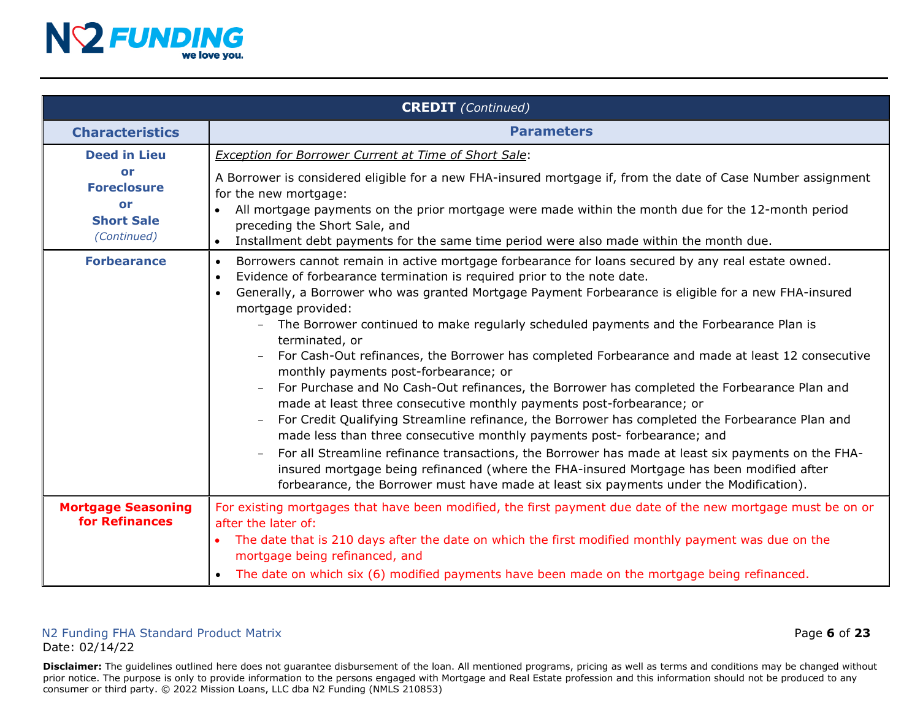

|                                                                    | <b>CREDIT</b> (Continued)                                                                                                                                                                                                                                                                                                                                                                                                                                                                                                                                                                                                                                                                                                                                                                                                                                                                                                                                                                                                                                                                                                                                                                                                                                                                      |
|--------------------------------------------------------------------|------------------------------------------------------------------------------------------------------------------------------------------------------------------------------------------------------------------------------------------------------------------------------------------------------------------------------------------------------------------------------------------------------------------------------------------------------------------------------------------------------------------------------------------------------------------------------------------------------------------------------------------------------------------------------------------------------------------------------------------------------------------------------------------------------------------------------------------------------------------------------------------------------------------------------------------------------------------------------------------------------------------------------------------------------------------------------------------------------------------------------------------------------------------------------------------------------------------------------------------------------------------------------------------------|
| <b>Characteristics</b>                                             | <b>Parameters</b>                                                                                                                                                                                                                                                                                                                                                                                                                                                                                                                                                                                                                                                                                                                                                                                                                                                                                                                                                                                                                                                                                                                                                                                                                                                                              |
| <b>Deed in Lieu</b>                                                | <b>Exception for Borrower Current at Time of Short Sale:</b>                                                                                                                                                                                                                                                                                                                                                                                                                                                                                                                                                                                                                                                                                                                                                                                                                                                                                                                                                                                                                                                                                                                                                                                                                                   |
| or<br><b>Foreclosure</b><br>or<br><b>Short Sale</b><br>(Continued) | A Borrower is considered eligible for a new FHA-insured mortgage if, from the date of Case Number assignment<br>for the new mortgage:<br>All mortgage payments on the prior mortgage were made within the month due for the 12-month period<br>$\bullet$<br>preceding the Short Sale, and<br>Installment debt payments for the same time period were also made within the month due.<br>$\bullet$                                                                                                                                                                                                                                                                                                                                                                                                                                                                                                                                                                                                                                                                                                                                                                                                                                                                                              |
| <b>Forbearance</b>                                                 | Borrowers cannot remain in active mortgage forbearance for loans secured by any real estate owned.<br>$\bullet$<br>Evidence of forbearance termination is required prior to the note date.<br>$\bullet$<br>Generally, a Borrower who was granted Mortgage Payment Forbearance is eligible for a new FHA-insured<br>$\bullet$<br>mortgage provided:<br>The Borrower continued to make regularly scheduled payments and the Forbearance Plan is<br>terminated, or<br>For Cash-Out refinances, the Borrower has completed Forbearance and made at least 12 consecutive<br>monthly payments post-forbearance; or<br>For Purchase and No Cash-Out refinances, the Borrower has completed the Forbearance Plan and<br>made at least three consecutive monthly payments post-forbearance; or<br>For Credit Qualifying Streamline refinance, the Borrower has completed the Forbearance Plan and<br>$\overline{\phantom{0}}$<br>made less than three consecutive monthly payments post- forbearance; and<br>For all Streamline refinance transactions, the Borrower has made at least six payments on the FHA-<br>insured mortgage being refinanced (where the FHA-insured Mortgage has been modified after<br>forbearance, the Borrower must have made at least six payments under the Modification). |
| <b>Mortgage Seasoning</b><br>for Refinances                        | For existing mortgages that have been modified, the first payment due date of the new mortgage must be on or<br>after the later of:<br>The date that is 210 days after the date on which the first modified monthly payment was due on the<br>mortgage being refinanced, and                                                                                                                                                                                                                                                                                                                                                                                                                                                                                                                                                                                                                                                                                                                                                                                                                                                                                                                                                                                                                   |
|                                                                    | The date on which six (6) modified payments have been made on the mortgage being refinanced.                                                                                                                                                                                                                                                                                                                                                                                                                                                                                                                                                                                                                                                                                                                                                                                                                                                                                                                                                                                                                                                                                                                                                                                                   |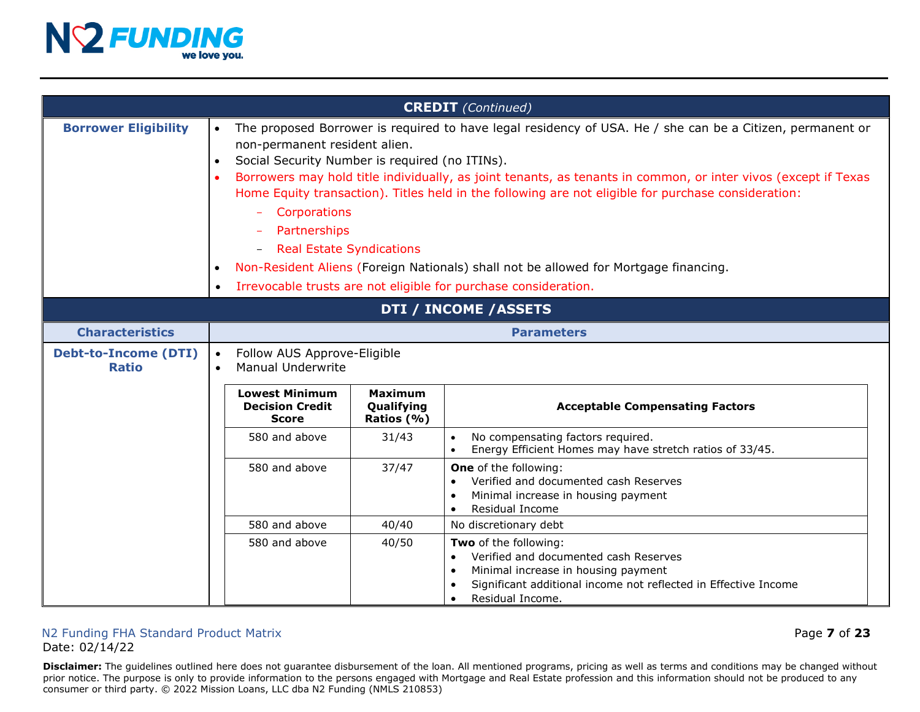

|                                             |                                     |                                                                                                                                                                                                                                                                                                                                                                                                                                                                                                                                                                                                                                                     |                                            | <b>CREDIT</b> (Continued)                                                                                                                                                                                                           |
|---------------------------------------------|-------------------------------------|-----------------------------------------------------------------------------------------------------------------------------------------------------------------------------------------------------------------------------------------------------------------------------------------------------------------------------------------------------------------------------------------------------------------------------------------------------------------------------------------------------------------------------------------------------------------------------------------------------------------------------------------------------|--------------------------------------------|-------------------------------------------------------------------------------------------------------------------------------------------------------------------------------------------------------------------------------------|
| <b>Borrower Eligibility</b>                 | $\bullet$<br>$\bullet$<br>$\bullet$ | The proposed Borrower is required to have legal residency of USA. He / she can be a Citizen, permanent or<br>non-permanent resident alien.<br>Social Security Number is required (no ITINs).<br>Borrowers may hold title individually, as joint tenants, as tenants in common, or inter vivos (except if Texas<br>Home Equity transaction). Titles held in the following are not eligible for purchase consideration:<br>Corporations<br>Partnerships<br><b>Real Estate Syndications</b><br>Non-Resident Aliens (Foreign Nationals) shall not be allowed for Mortgage financing.<br>Irrevocable trusts are not eligible for purchase consideration. |                                            |                                                                                                                                                                                                                                     |
| DTI / INCOME / ASSETS                       |                                     |                                                                                                                                                                                                                                                                                                                                                                                                                                                                                                                                                                                                                                                     |                                            |                                                                                                                                                                                                                                     |
| <b>Characteristics</b>                      |                                     | <b>Parameters</b>                                                                                                                                                                                                                                                                                                                                                                                                                                                                                                                                                                                                                                   |                                            |                                                                                                                                                                                                                                     |
| <b>Debt-to-Income (DTI)</b><br><b>Ratio</b> | $\bullet$<br>$\bullet$              | Follow AUS Approve-Eligible<br><b>Manual Underwrite</b>                                                                                                                                                                                                                                                                                                                                                                                                                                                                                                                                                                                             |                                            |                                                                                                                                                                                                                                     |
|                                             |                                     | <b>Lowest Minimum</b><br><b>Decision Credit</b><br><b>Score</b>                                                                                                                                                                                                                                                                                                                                                                                                                                                                                                                                                                                     | <b>Maximum</b><br>Qualifying<br>Ratios (%) | <b>Acceptable Compensating Factors</b>                                                                                                                                                                                              |
|                                             |                                     | 580 and above                                                                                                                                                                                                                                                                                                                                                                                                                                                                                                                                                                                                                                       | 31/43                                      | No compensating factors required.<br>$\bullet$<br>Energy Efficient Homes may have stretch ratios of 33/45.                                                                                                                          |
|                                             |                                     | 580 and above                                                                                                                                                                                                                                                                                                                                                                                                                                                                                                                                                                                                                                       | 37/47                                      | <b>One</b> of the following:<br>Verified and documented cash Reserves<br>$\bullet$<br>Minimal increase in housing payment<br>$\bullet$<br>Residual Income<br>$\bullet$                                                              |
|                                             |                                     | 580 and above                                                                                                                                                                                                                                                                                                                                                                                                                                                                                                                                                                                                                                       | 40/40                                      | No discretionary debt                                                                                                                                                                                                               |
|                                             |                                     | 580 and above                                                                                                                                                                                                                                                                                                                                                                                                                                                                                                                                                                                                                                       | 40/50                                      | Two of the following:<br>Verified and documented cash Reserves<br>$\bullet$<br>Minimal increase in housing payment<br>$\bullet$<br>Significant additional income not reflected in Effective Income<br>Residual Income.<br>$\bullet$ |

#### N2 Funding FHA Standard Product Matrix Page **7** of **23** Date: 02/14/22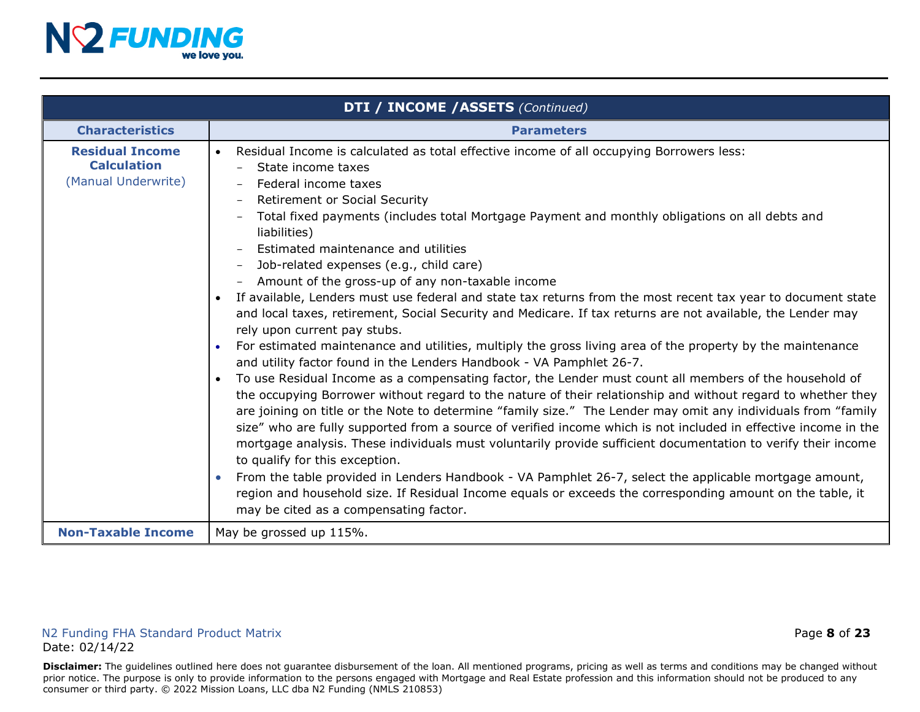

<span id="page-7-0"></span>

|                                                                     | <b>DTI / INCOME / ASSETS (Continued)</b>                                                                                                                                                                                                                                                                                                                                                                                                                                                                                                                                                                                                                                                                                                                                                                                                                                                                                                                                                                                                                                                                                                                                                                                                                                                                                                                                                                                                                                                                                                                                                                                                                                                                                                                                                                                              |
|---------------------------------------------------------------------|---------------------------------------------------------------------------------------------------------------------------------------------------------------------------------------------------------------------------------------------------------------------------------------------------------------------------------------------------------------------------------------------------------------------------------------------------------------------------------------------------------------------------------------------------------------------------------------------------------------------------------------------------------------------------------------------------------------------------------------------------------------------------------------------------------------------------------------------------------------------------------------------------------------------------------------------------------------------------------------------------------------------------------------------------------------------------------------------------------------------------------------------------------------------------------------------------------------------------------------------------------------------------------------------------------------------------------------------------------------------------------------------------------------------------------------------------------------------------------------------------------------------------------------------------------------------------------------------------------------------------------------------------------------------------------------------------------------------------------------------------------------------------------------------------------------------------------------|
| <b>Characteristics</b>                                              | <b>Parameters</b>                                                                                                                                                                                                                                                                                                                                                                                                                                                                                                                                                                                                                                                                                                                                                                                                                                                                                                                                                                                                                                                                                                                                                                                                                                                                                                                                                                                                                                                                                                                                                                                                                                                                                                                                                                                                                     |
| <b>Residual Income</b><br><b>Calculation</b><br>(Manual Underwrite) | Residual Income is calculated as total effective income of all occupying Borrowers less:<br>State income taxes<br>$\qquad \qquad -$<br>Federal income taxes<br>Retirement or Social Security<br>Total fixed payments (includes total Mortgage Payment and monthly obligations on all debts and<br>$\qquad \qquad -$<br>liabilities)<br>Estimated maintenance and utilities<br>Job-related expenses (e.g., child care)<br>$\qquad \qquad -$<br>Amount of the gross-up of any non-taxable income<br>If available, Lenders must use federal and state tax returns from the most recent tax year to document state<br>and local taxes, retirement, Social Security and Medicare. If tax returns are not available, the Lender may<br>rely upon current pay stubs.<br>For estimated maintenance and utilities, multiply the gross living area of the property by the maintenance<br>and utility factor found in the Lenders Handbook - VA Pamphlet 26-7.<br>To use Residual Income as a compensating factor, the Lender must count all members of the household of<br>the occupying Borrower without regard to the nature of their relationship and without regard to whether they<br>are joining on title or the Note to determine "family size." The Lender may omit any individuals from "family<br>size" who are fully supported from a source of verified income which is not included in effective income in the<br>mortgage analysis. These individuals must voluntarily provide sufficient documentation to verify their income<br>to qualify for this exception.<br>From the table provided in Lenders Handbook - VA Pamphlet 26-7, select the applicable mortgage amount,<br>region and household size. If Residual Income equals or exceeds the corresponding amount on the table, it<br>may be cited as a compensating factor. |
| <b>Non-Taxable Income</b>                                           | May be grossed up 115%.                                                                                                                                                                                                                                                                                                                                                                                                                                                                                                                                                                                                                                                                                                                                                                                                                                                                                                                                                                                                                                                                                                                                                                                                                                                                                                                                                                                                                                                                                                                                                                                                                                                                                                                                                                                                               |

#### N2 Funding FHA Standard Product Matrix Page **8** of **23** Date: 02/14/22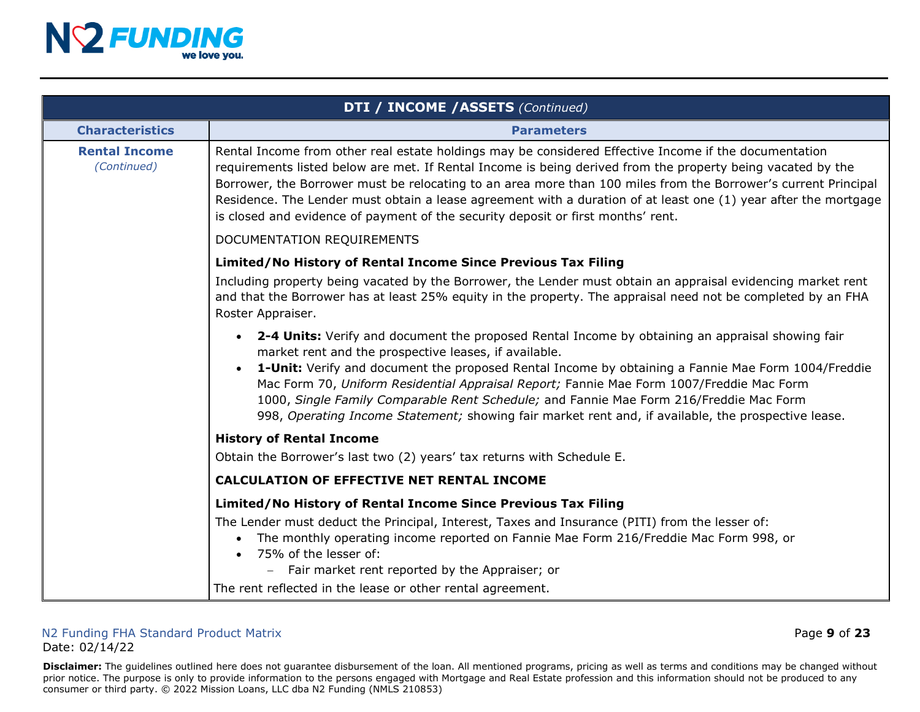

|                                     | DTI / INCOME / ASSETS (Continued)                                                                                                                                                                                                                                                                                                                                                                                                                                                                                                                            |
|-------------------------------------|--------------------------------------------------------------------------------------------------------------------------------------------------------------------------------------------------------------------------------------------------------------------------------------------------------------------------------------------------------------------------------------------------------------------------------------------------------------------------------------------------------------------------------------------------------------|
| <b>Characteristics</b>              | <b>Parameters</b>                                                                                                                                                                                                                                                                                                                                                                                                                                                                                                                                            |
| <b>Rental Income</b><br>(Continued) | Rental Income from other real estate holdings may be considered Effective Income if the documentation<br>requirements listed below are met. If Rental Income is being derived from the property being vacated by the<br>Borrower, the Borrower must be relocating to an area more than 100 miles from the Borrower's current Principal<br>Residence. The Lender must obtain a lease agreement with a duration of at least one (1) year after the mortgage<br>is closed and evidence of payment of the security deposit or first months' rent.                |
|                                     | DOCUMENTATION REQUIREMENTS                                                                                                                                                                                                                                                                                                                                                                                                                                                                                                                                   |
|                                     | Limited/No History of Rental Income Since Previous Tax Filing                                                                                                                                                                                                                                                                                                                                                                                                                                                                                                |
|                                     | Including property being vacated by the Borrower, the Lender must obtain an appraisal evidencing market rent<br>and that the Borrower has at least 25% equity in the property. The appraisal need not be completed by an FHA<br>Roster Appraiser.                                                                                                                                                                                                                                                                                                            |
|                                     | 2-4 Units: Verify and document the proposed Rental Income by obtaining an appraisal showing fair<br>market rent and the prospective leases, if available.<br>1-Unit: Verify and document the proposed Rental Income by obtaining a Fannie Mae Form 1004/Freddie<br>Mac Form 70, Uniform Residential Appraisal Report; Fannie Mae Form 1007/Freddie Mac Form<br>1000, Single Family Comparable Rent Schedule; and Fannie Mae Form 216/Freddie Mac Form<br>998, Operating Income Statement; showing fair market rent and, if available, the prospective lease. |
|                                     | <b>History of Rental Income</b>                                                                                                                                                                                                                                                                                                                                                                                                                                                                                                                              |
|                                     | Obtain the Borrower's last two (2) years' tax returns with Schedule E.                                                                                                                                                                                                                                                                                                                                                                                                                                                                                       |
|                                     | <b>CALCULATION OF EFFECTIVE NET RENTAL INCOME</b>                                                                                                                                                                                                                                                                                                                                                                                                                                                                                                            |
|                                     | Limited/No History of Rental Income Since Previous Tax Filing                                                                                                                                                                                                                                                                                                                                                                                                                                                                                                |
|                                     | The Lender must deduct the Principal, Interest, Taxes and Insurance (PITI) from the lesser of:<br>The monthly operating income reported on Fannie Mae Form 216/Freddie Mac Form 998, or<br>75% of the lesser of:<br>Fair market rent reported by the Appraiser; or                                                                                                                                                                                                                                                                                           |
|                                     | The rent reflected in the lease or other rental agreement.                                                                                                                                                                                                                                                                                                                                                                                                                                                                                                   |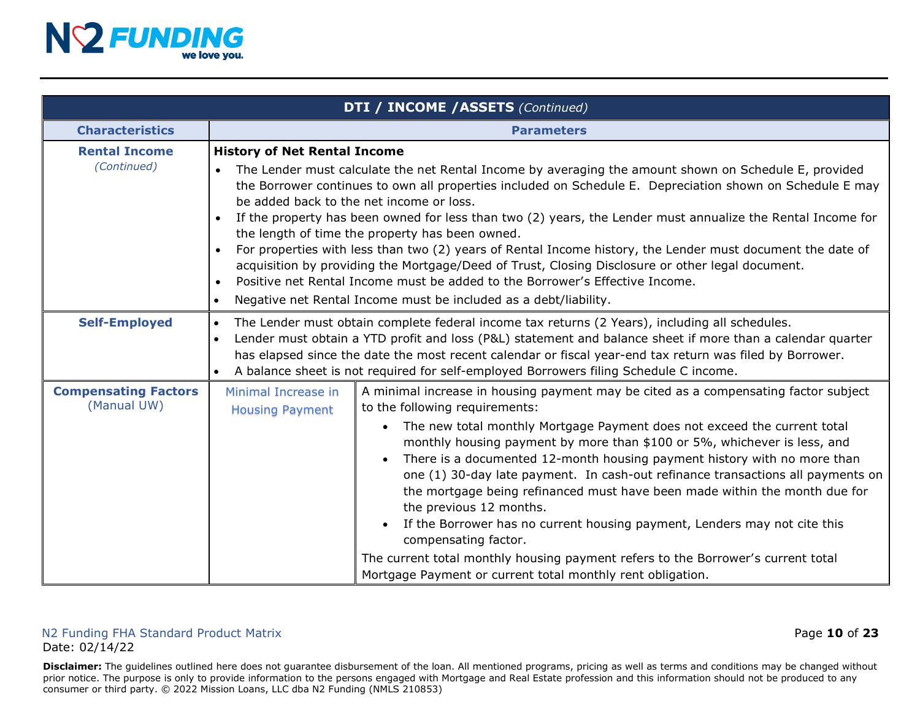

|                                            | <b>DTI / INCOME / ASSETS (Continued)</b>                                                                                                                                                                                                                                                                                                                                                                                                                                                                                                                                                                                                                                                                                                                                                                                                                                                |  |  |
|--------------------------------------------|-----------------------------------------------------------------------------------------------------------------------------------------------------------------------------------------------------------------------------------------------------------------------------------------------------------------------------------------------------------------------------------------------------------------------------------------------------------------------------------------------------------------------------------------------------------------------------------------------------------------------------------------------------------------------------------------------------------------------------------------------------------------------------------------------------------------------------------------------------------------------------------------|--|--|
| <b>Characteristics</b>                     | <b>Parameters</b>                                                                                                                                                                                                                                                                                                                                                                                                                                                                                                                                                                                                                                                                                                                                                                                                                                                                       |  |  |
| <b>Rental Income</b><br>(Continued)        | <b>History of Net Rental Income</b><br>The Lender must calculate the net Rental Income by averaging the amount shown on Schedule E, provided<br>$\bullet$<br>the Borrower continues to own all properties included on Schedule E. Depreciation shown on Schedule E may<br>be added back to the net income or loss.<br>If the property has been owned for less than two (2) years, the Lender must annualize the Rental Income for<br>the length of time the property has been owned.<br>For properties with less than two (2) years of Rental Income history, the Lender must document the date of<br>acquisition by providing the Mortgage/Deed of Trust, Closing Disclosure or other legal document.<br>Positive net Rental Income must be added to the Borrower's Effective Income.<br>$\bullet$<br>Negative net Rental Income must be included as a debt/liability.<br>$\bullet$    |  |  |
| <b>Self-Employed</b>                       | The Lender must obtain complete federal income tax returns (2 Years), including all schedules.<br>$\bullet$<br>Lender must obtain a YTD profit and loss (P&L) statement and balance sheet if more than a calendar quarter<br>$\bullet$<br>has elapsed since the date the most recent calendar or fiscal year-end tax return was filed by Borrower.<br>A balance sheet is not required for self-employed Borrowers filing Schedule C income.                                                                                                                                                                                                                                                                                                                                                                                                                                             |  |  |
| <b>Compensating Factors</b><br>(Manual UW) | Minimal Increase in<br>A minimal increase in housing payment may be cited as a compensating factor subject<br>to the following requirements:<br><b>Housing Payment</b><br>The new total monthly Mortgage Payment does not exceed the current total<br>$\bullet$<br>monthly housing payment by more than \$100 or 5%, whichever is less, and<br>There is a documented 12-month housing payment history with no more than<br>one (1) 30-day late payment. In cash-out refinance transactions all payments on<br>the mortgage being refinanced must have been made within the month due for<br>the previous 12 months.<br>If the Borrower has no current housing payment, Lenders may not cite this<br>$\bullet$<br>compensating factor.<br>The current total monthly housing payment refers to the Borrower's current total<br>Mortgage Payment or current total monthly rent obligation. |  |  |

#### N2 Funding FHA Standard Product Matrix Page **10** of **23** Date: 02/14/22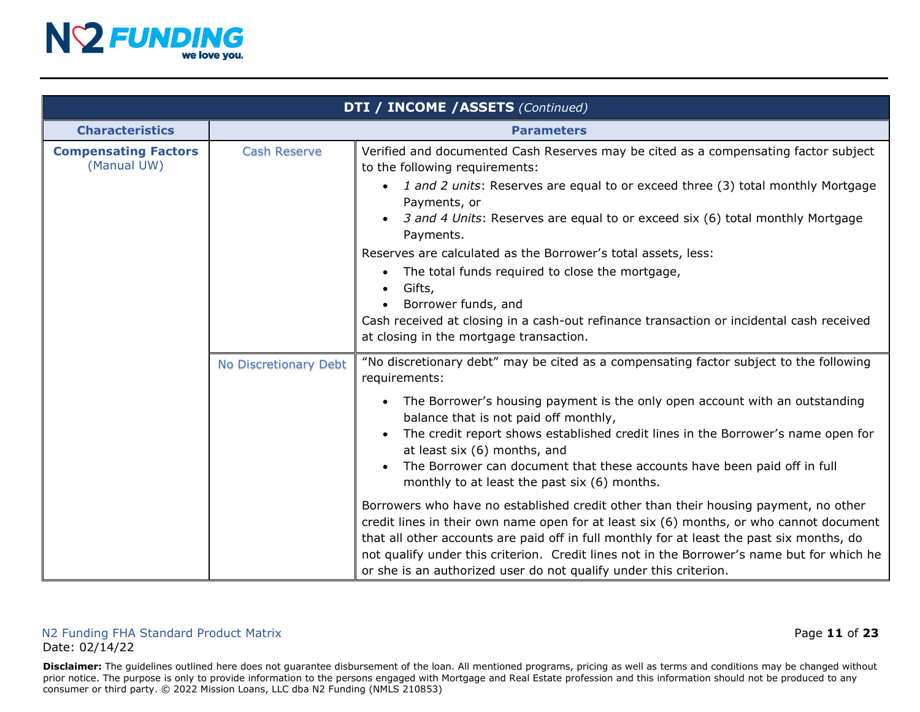

| <b>DTI / INCOME / ASSETS (Continued)</b>   |                       |                                                                                                                                                                                                                                                                                                                                                                                                                                                                                                                                                                                                                                                                                                                                                                                                                                                                                                                                   |
|--------------------------------------------|-----------------------|-----------------------------------------------------------------------------------------------------------------------------------------------------------------------------------------------------------------------------------------------------------------------------------------------------------------------------------------------------------------------------------------------------------------------------------------------------------------------------------------------------------------------------------------------------------------------------------------------------------------------------------------------------------------------------------------------------------------------------------------------------------------------------------------------------------------------------------------------------------------------------------------------------------------------------------|
| <b>Characteristics</b>                     | <b>Parameters</b>     |                                                                                                                                                                                                                                                                                                                                                                                                                                                                                                                                                                                                                                                                                                                                                                                                                                                                                                                                   |
| <b>Compensating Factors</b><br>(Manual UW) | <b>Cash Reserve</b>   | Verified and documented Cash Reserves may be cited as a compensating factor subject<br>to the following requirements:<br>• 1 and 2 units: Reserves are equal to or exceed three (3) total monthly Mortgage<br>Payments, or<br>3 and 4 Units: Reserves are equal to or exceed six (6) total monthly Mortgage<br>Payments.<br>Reserves are calculated as the Borrower's total assets, less:<br>The total funds required to close the mortgage,<br>Gifts,<br>Borrower funds, and<br>Cash received at closing in a cash-out refinance transaction or incidental cash received<br>at closing in the mortgage transaction.                                                                                                                                                                                                                                                                                                              |
|                                            | No Discretionary Debt | "No discretionary debt" may be cited as a compensating factor subject to the following<br>requirements:<br>The Borrower's housing payment is the only open account with an outstanding<br>balance that is not paid off monthly,<br>The credit report shows established credit lines in the Borrower's name open for<br>at least six (6) months, and<br>The Borrower can document that these accounts have been paid off in full<br>monthly to at least the past six (6) months.<br>Borrowers who have no established credit other than their housing payment, no other<br>credit lines in their own name open for at least six (6) months, or who cannot document<br>that all other accounts are paid off in full monthly for at least the past six months, do<br>not qualify under this criterion. Credit lines not in the Borrower's name but for which he<br>or she is an authorized user do not qualify under this criterion. |

#### N2 Funding FHA Standard Product Matrix **Page 11 of 23** and  $\overline{a}$  **Page 11 of 23** Date: 02/14/22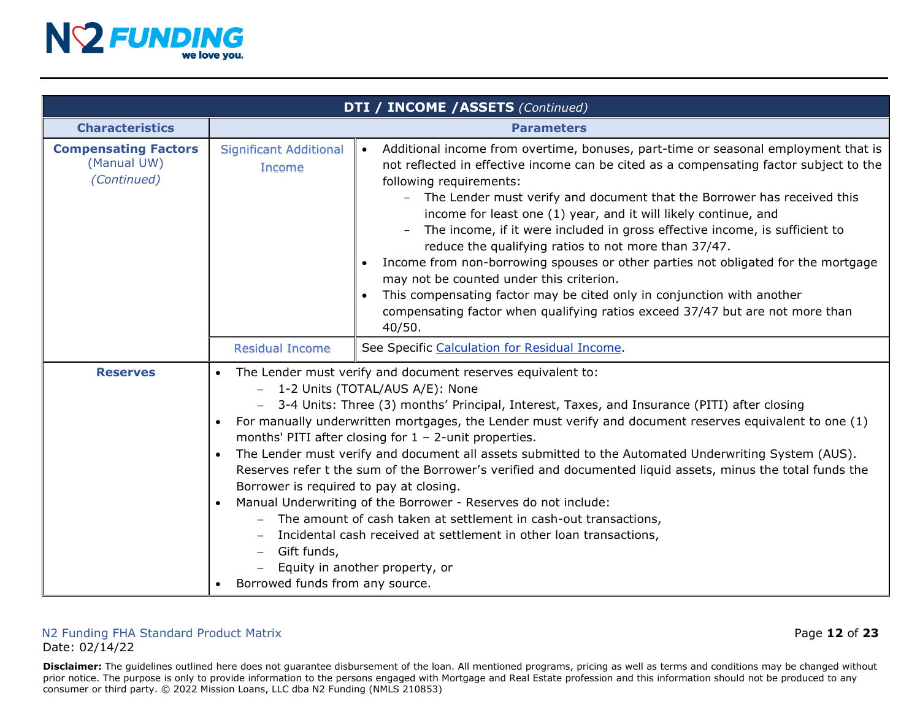

| <b>DTI / INCOME / ASSETS (Continued)</b>                  |                                                                                                                                                                                                                                                                                                                                                                                                                                                                                                                                                                                                                                                                                                                                                                                                                                                                                                                                                                               |                                                                                                                                                                                                                                                                                                                                                                                                                                                                                                                                                                                                                                                                                                                                                                                                                   |
|-----------------------------------------------------------|-------------------------------------------------------------------------------------------------------------------------------------------------------------------------------------------------------------------------------------------------------------------------------------------------------------------------------------------------------------------------------------------------------------------------------------------------------------------------------------------------------------------------------------------------------------------------------------------------------------------------------------------------------------------------------------------------------------------------------------------------------------------------------------------------------------------------------------------------------------------------------------------------------------------------------------------------------------------------------|-------------------------------------------------------------------------------------------------------------------------------------------------------------------------------------------------------------------------------------------------------------------------------------------------------------------------------------------------------------------------------------------------------------------------------------------------------------------------------------------------------------------------------------------------------------------------------------------------------------------------------------------------------------------------------------------------------------------------------------------------------------------------------------------------------------------|
| <b>Characteristics</b>                                    | <b>Parameters</b>                                                                                                                                                                                                                                                                                                                                                                                                                                                                                                                                                                                                                                                                                                                                                                                                                                                                                                                                                             |                                                                                                                                                                                                                                                                                                                                                                                                                                                                                                                                                                                                                                                                                                                                                                                                                   |
| <b>Compensating Factors</b><br>(Manual UW)<br>(Continued) | <b>Significant Additional</b><br><b>Income</b>                                                                                                                                                                                                                                                                                                                                                                                                                                                                                                                                                                                                                                                                                                                                                                                                                                                                                                                                | Additional income from overtime, bonuses, part-time or seasonal employment that is<br>$\bullet$<br>not reflected in effective income can be cited as a compensating factor subject to the<br>following requirements:<br>- The Lender must verify and document that the Borrower has received this<br>income for least one (1) year, and it will likely continue, and<br>The income, if it were included in gross effective income, is sufficient to<br>reduce the qualifying ratios to not more than 37/47.<br>Income from non-borrowing spouses or other parties not obligated for the mortgage<br>may not be counted under this criterion.<br>This compensating factor may be cited only in conjunction with another<br>compensating factor when qualifying ratios exceed 37/47 but are not more than<br>40/50. |
|                                                           | <b>Residual Income</b>                                                                                                                                                                                                                                                                                                                                                                                                                                                                                                                                                                                                                                                                                                                                                                                                                                                                                                                                                        | See Specific Calculation for Residual Income.                                                                                                                                                                                                                                                                                                                                                                                                                                                                                                                                                                                                                                                                                                                                                                     |
| <b>Reserves</b>                                           | The Lender must verify and document reserves equivalent to:<br>$\bullet$<br>1-2 Units (TOTAL/AUS A/E): None<br>3-4 Units: Three (3) months' Principal, Interest, Taxes, and Insurance (PITI) after closing<br>For manually underwritten mortgages, the Lender must verify and document reserves equivalent to one (1)<br>$\bullet$<br>months' PITI after closing for $1 - 2$ -unit properties.<br>The Lender must verify and document all assets submitted to the Automated Underwriting System (AUS).<br>Reserves refer t the sum of the Borrower's verified and documented liquid assets, minus the total funds the<br>Borrower is required to pay at closing.<br>Manual Underwriting of the Borrower - Reserves do not include:<br>$\bullet$<br>The amount of cash taken at settlement in cash-out transactions,<br>Incidental cash received at settlement in other loan transactions,<br>Gift funds,<br>Equity in another property, or<br>Borrowed funds from any source. |                                                                                                                                                                                                                                                                                                                                                                                                                                                                                                                                                                                                                                                                                                                                                                                                                   |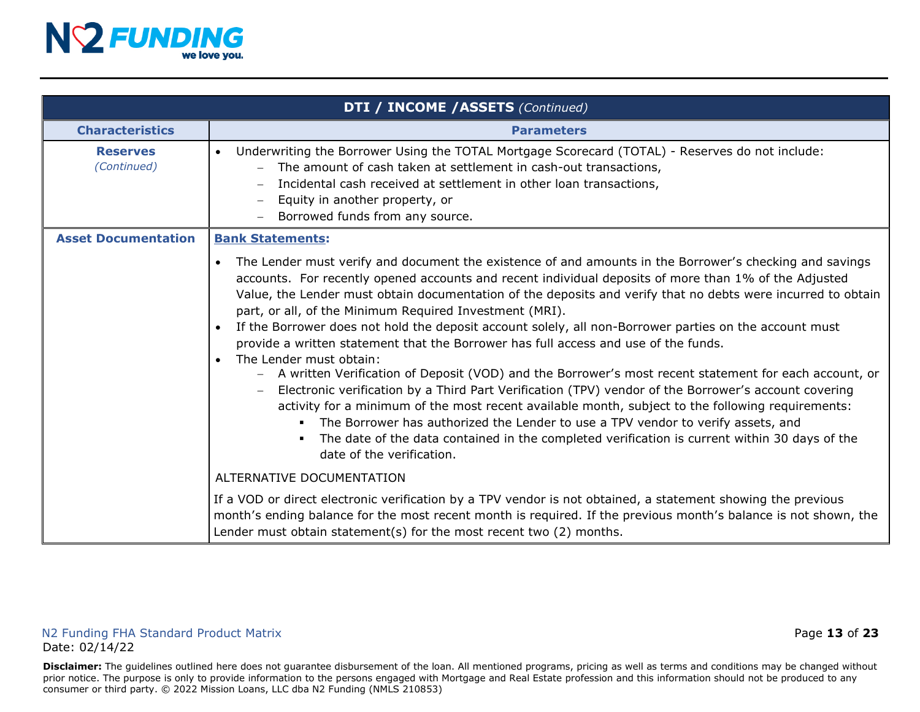

|                                | DTI / INCOME / ASSETS (Continued)                                                                                                                                                                                                                                                                                                                                                                                                                                                                                                                                                                                                                                                                                                                                                                                                                                                                                                                                                                                                                                                                                                                                                           |  |  |
|--------------------------------|---------------------------------------------------------------------------------------------------------------------------------------------------------------------------------------------------------------------------------------------------------------------------------------------------------------------------------------------------------------------------------------------------------------------------------------------------------------------------------------------------------------------------------------------------------------------------------------------------------------------------------------------------------------------------------------------------------------------------------------------------------------------------------------------------------------------------------------------------------------------------------------------------------------------------------------------------------------------------------------------------------------------------------------------------------------------------------------------------------------------------------------------------------------------------------------------|--|--|
| <b>Characteristics</b>         | <b>Parameters</b>                                                                                                                                                                                                                                                                                                                                                                                                                                                                                                                                                                                                                                                                                                                                                                                                                                                                                                                                                                                                                                                                                                                                                                           |  |  |
| <b>Reserves</b><br>(Continued) | Underwriting the Borrower Using the TOTAL Mortgage Scorecard (TOTAL) - Reserves do not include:<br>$\bullet$<br>The amount of cash taken at settlement in cash-out transactions,<br>Incidental cash received at settlement in other loan transactions,<br>Equity in another property, or<br>Borrowed funds from any source.                                                                                                                                                                                                                                                                                                                                                                                                                                                                                                                                                                                                                                                                                                                                                                                                                                                                 |  |  |
| <b>Asset Documentation</b>     | <b>Bank Statements:</b>                                                                                                                                                                                                                                                                                                                                                                                                                                                                                                                                                                                                                                                                                                                                                                                                                                                                                                                                                                                                                                                                                                                                                                     |  |  |
|                                | The Lender must verify and document the existence of and amounts in the Borrower's checking and savings<br>$\bullet$<br>accounts. For recently opened accounts and recent individual deposits of more than 1% of the Adjusted<br>Value, the Lender must obtain documentation of the deposits and verify that no debts were incurred to obtain<br>part, or all, of the Minimum Required Investment (MRI).<br>If the Borrower does not hold the deposit account solely, all non-Borrower parties on the account must<br>provide a written statement that the Borrower has full access and use of the funds.<br>The Lender must obtain:<br>$\bullet$<br>- A written Verification of Deposit (VOD) and the Borrower's most recent statement for each account, or<br>Electronic verification by a Third Part Verification (TPV) vendor of the Borrower's account covering<br>activity for a minimum of the most recent available month, subject to the following requirements:<br>The Borrower has authorized the Lender to use a TPV vendor to verify assets, and<br>The date of the data contained in the completed verification is current within 30 days of the<br>date of the verification. |  |  |
|                                | ALTERNATIVE DOCUMENTATION                                                                                                                                                                                                                                                                                                                                                                                                                                                                                                                                                                                                                                                                                                                                                                                                                                                                                                                                                                                                                                                                                                                                                                   |  |  |
|                                | If a VOD or direct electronic verification by a TPV vendor is not obtained, a statement showing the previous<br>month's ending balance for the most recent month is required. If the previous month's balance is not shown, the<br>Lender must obtain statement(s) for the most recent two (2) months.                                                                                                                                                                                                                                                                                                                                                                                                                                                                                                                                                                                                                                                                                                                                                                                                                                                                                      |  |  |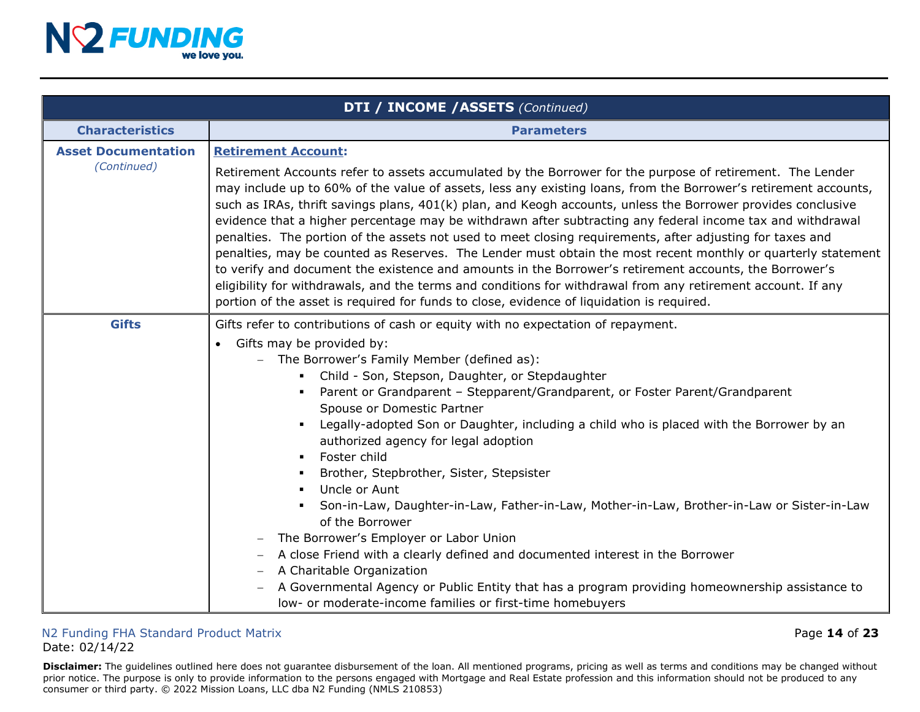

|                                           | <b>DTI / INCOME / ASSETS (Continued)</b>                                                                                                                                                                                                                                                                                                                                                                                                                                                                                                                                                                                                                                                                                                                                                                                                                                                                                                                                                                                                     |  |  |
|-------------------------------------------|----------------------------------------------------------------------------------------------------------------------------------------------------------------------------------------------------------------------------------------------------------------------------------------------------------------------------------------------------------------------------------------------------------------------------------------------------------------------------------------------------------------------------------------------------------------------------------------------------------------------------------------------------------------------------------------------------------------------------------------------------------------------------------------------------------------------------------------------------------------------------------------------------------------------------------------------------------------------------------------------------------------------------------------------|--|--|
| <b>Characteristics</b>                    | <b>Parameters</b>                                                                                                                                                                                                                                                                                                                                                                                                                                                                                                                                                                                                                                                                                                                                                                                                                                                                                                                                                                                                                            |  |  |
| <b>Asset Documentation</b><br>(Continued) | <b>Retirement Account:</b><br>Retirement Accounts refer to assets accumulated by the Borrower for the purpose of retirement. The Lender<br>may include up to 60% of the value of assets, less any existing loans, from the Borrower's retirement accounts,<br>such as IRAs, thrift savings plans, 401(k) plan, and Keogh accounts, unless the Borrower provides conclusive<br>evidence that a higher percentage may be withdrawn after subtracting any federal income tax and withdrawal<br>penalties. The portion of the assets not used to meet closing requirements, after adjusting for taxes and<br>penalties, may be counted as Reserves. The Lender must obtain the most recent monthly or quarterly statement<br>to verify and document the existence and amounts in the Borrower's retirement accounts, the Borrower's<br>eligibility for withdrawals, and the terms and conditions for withdrawal from any retirement account. If any<br>portion of the asset is required for funds to close, evidence of liquidation is required. |  |  |
| <b>Gifts</b>                              | Gifts refer to contributions of cash or equity with no expectation of repayment.<br>Gifts may be provided by:<br>$\bullet$<br>The Borrower's Family Member (defined as):<br>Child - Son, Stepson, Daughter, or Stepdaughter<br>Parent or Grandparent - Stepparent/Grandparent, or Foster Parent/Grandparent<br>Spouse or Domestic Partner<br>Legally-adopted Son or Daughter, including a child who is placed with the Borrower by an<br>authorized agency for legal adoption<br>Foster child<br>Brother, Stepbrother, Sister, Stepsister<br>Uncle or Aunt<br>Son-in-Law, Daughter-in-Law, Father-in-Law, Mother-in-Law, Brother-in-Law or Sister-in-Law<br>of the Borrower<br>The Borrower's Employer or Labor Union<br>A close Friend with a clearly defined and documented interest in the Borrower<br>A Charitable Organization<br>A Governmental Agency or Public Entity that has a program providing homeownership assistance to                                                                                                       |  |  |

#### N2 Funding FHA Standard Product Matrix **And Access 23** Page 14 of 23 Date: 02/14/22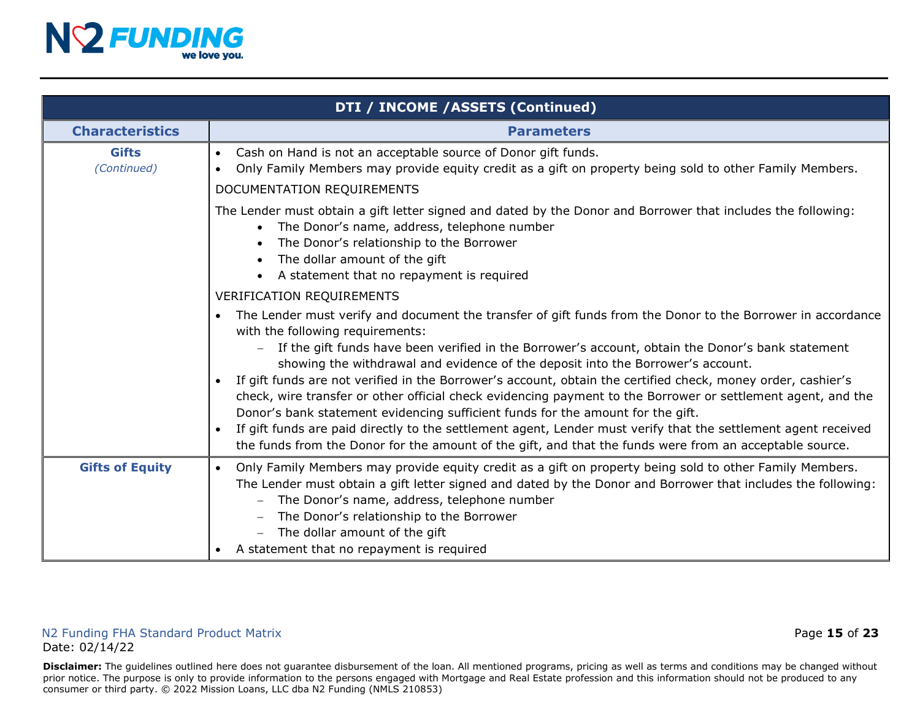

|                             | DTI / INCOME / ASSETS (Continued)                                                                                                                                                                                                                                                                                                                                                                                                                                                                                                                                                                                                                                                                                                                                                                                                                                                                    |  |  |
|-----------------------------|------------------------------------------------------------------------------------------------------------------------------------------------------------------------------------------------------------------------------------------------------------------------------------------------------------------------------------------------------------------------------------------------------------------------------------------------------------------------------------------------------------------------------------------------------------------------------------------------------------------------------------------------------------------------------------------------------------------------------------------------------------------------------------------------------------------------------------------------------------------------------------------------------|--|--|
| <b>Characteristics</b>      | <b>Parameters</b>                                                                                                                                                                                                                                                                                                                                                                                                                                                                                                                                                                                                                                                                                                                                                                                                                                                                                    |  |  |
| <b>Gifts</b><br>(Continued) | Cash on Hand is not an acceptable source of Donor gift funds.<br>$\bullet$<br>Only Family Members may provide equity credit as a gift on property being sold to other Family Members.<br>$\bullet$<br>DOCUMENTATION REQUIREMENTS                                                                                                                                                                                                                                                                                                                                                                                                                                                                                                                                                                                                                                                                     |  |  |
|                             | The Lender must obtain a gift letter signed and dated by the Donor and Borrower that includes the following:<br>The Donor's name, address, telephone number<br>$\bullet$<br>The Donor's relationship to the Borrower<br>The dollar amount of the gift<br>$\bullet$<br>A statement that no repayment is required                                                                                                                                                                                                                                                                                                                                                                                                                                                                                                                                                                                      |  |  |
|                             | <b>VERIFICATION REQUIREMENTS</b>                                                                                                                                                                                                                                                                                                                                                                                                                                                                                                                                                                                                                                                                                                                                                                                                                                                                     |  |  |
|                             | The Lender must verify and document the transfer of gift funds from the Donor to the Borrower in accordance<br>with the following requirements:<br>If the gift funds have been verified in the Borrower's account, obtain the Donor's bank statement<br>showing the withdrawal and evidence of the deposit into the Borrower's account.<br>If gift funds are not verified in the Borrower's account, obtain the certified check, money order, cashier's<br>$\bullet$<br>check, wire transfer or other official check evidencing payment to the Borrower or settlement agent, and the<br>Donor's bank statement evidencing sufficient funds for the amount for the gift.<br>If gift funds are paid directly to the settlement agent, Lender must verify that the settlement agent received<br>the funds from the Donor for the amount of the gift, and that the funds were from an acceptable source. |  |  |
| <b>Gifts of Equity</b>      | Only Family Members may provide equity credit as a gift on property being sold to other Family Members.<br>$\bullet$<br>The Lender must obtain a gift letter signed and dated by the Donor and Borrower that includes the following:<br>The Donor's name, address, telephone number<br>The Donor's relationship to the Borrower<br>The dollar amount of the gift<br>A statement that no repayment is required                                                                                                                                                                                                                                                                                                                                                                                                                                                                                        |  |  |

#### N2 Funding FHA Standard Product Matrix **All and Standard Product Matrix** Page 15 of 23 Date: 02/14/22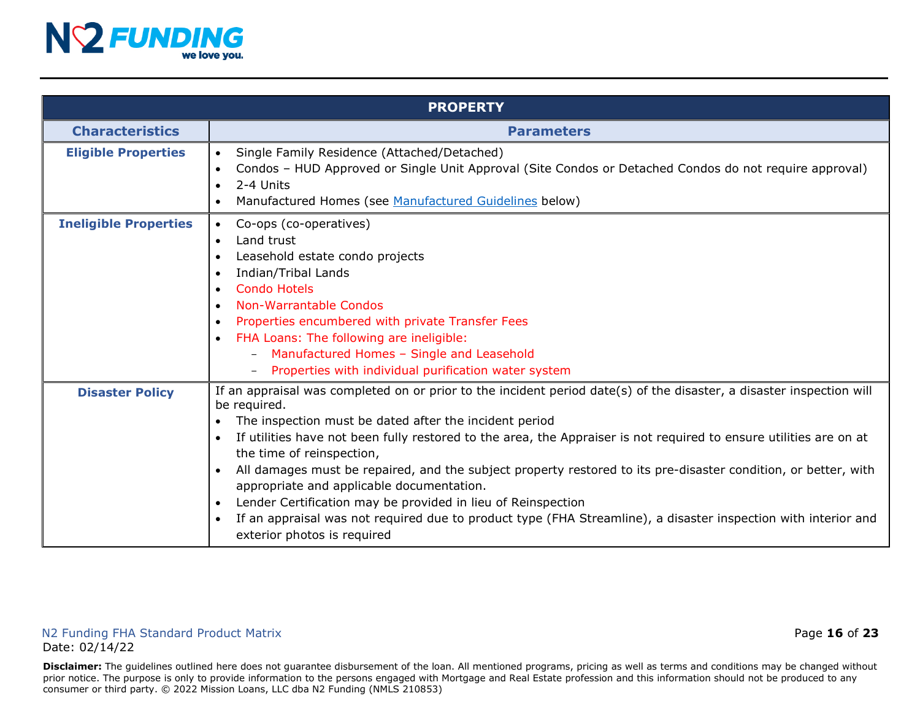

|                              | <b>PROPERTY</b>                                                                                                                                                                                                                                                                                                                                                                                                                                                                                                                                                                                                                                                                                                                                                                                    |
|------------------------------|----------------------------------------------------------------------------------------------------------------------------------------------------------------------------------------------------------------------------------------------------------------------------------------------------------------------------------------------------------------------------------------------------------------------------------------------------------------------------------------------------------------------------------------------------------------------------------------------------------------------------------------------------------------------------------------------------------------------------------------------------------------------------------------------------|
| <b>Characteristics</b>       | <b>Parameters</b>                                                                                                                                                                                                                                                                                                                                                                                                                                                                                                                                                                                                                                                                                                                                                                                  |
| <b>Eligible Properties</b>   | Single Family Residence (Attached/Detached)<br>$\bullet$<br>Condos - HUD Approved or Single Unit Approval (Site Condos or Detached Condos do not require approval)<br>2-4 Units<br>$\bullet$<br>Manufactured Homes (see Manufactured Guidelines below)<br>$\bullet$                                                                                                                                                                                                                                                                                                                                                                                                                                                                                                                                |
| <b>Ineligible Properties</b> | Co-ops (co-operatives)<br>$\bullet$<br>Land trust<br>$\bullet$<br>Leasehold estate condo projects<br>$\bullet$<br>Indian/Tribal Lands<br>$\bullet$<br><b>Condo Hotels</b><br>$\bullet$<br>Non-Warrantable Condos<br>$\bullet$<br>Properties encumbered with private Transfer Fees<br>$\bullet$<br>FHA Loans: The following are ineligible:<br>$\bullet$<br>- Manufactured Homes - Single and Leasehold<br>Properties with individual purification water system<br>$\qquad \qquad -$                                                                                                                                                                                                                                                                                                                |
| <b>Disaster Policy</b>       | If an appraisal was completed on or prior to the incident period date(s) of the disaster, a disaster inspection will<br>be required.<br>The inspection must be dated after the incident period<br>$\bullet$<br>If utilities have not been fully restored to the area, the Appraiser is not required to ensure utilities are on at<br>$\bullet$<br>the time of reinspection,<br>All damages must be repaired, and the subject property restored to its pre-disaster condition, or better, with<br>$\bullet$<br>appropriate and applicable documentation.<br>Lender Certification may be provided in lieu of Reinspection<br>$\bullet$<br>If an appraisal was not required due to product type (FHA Streamline), a disaster inspection with interior and<br>$\bullet$<br>exterior photos is required |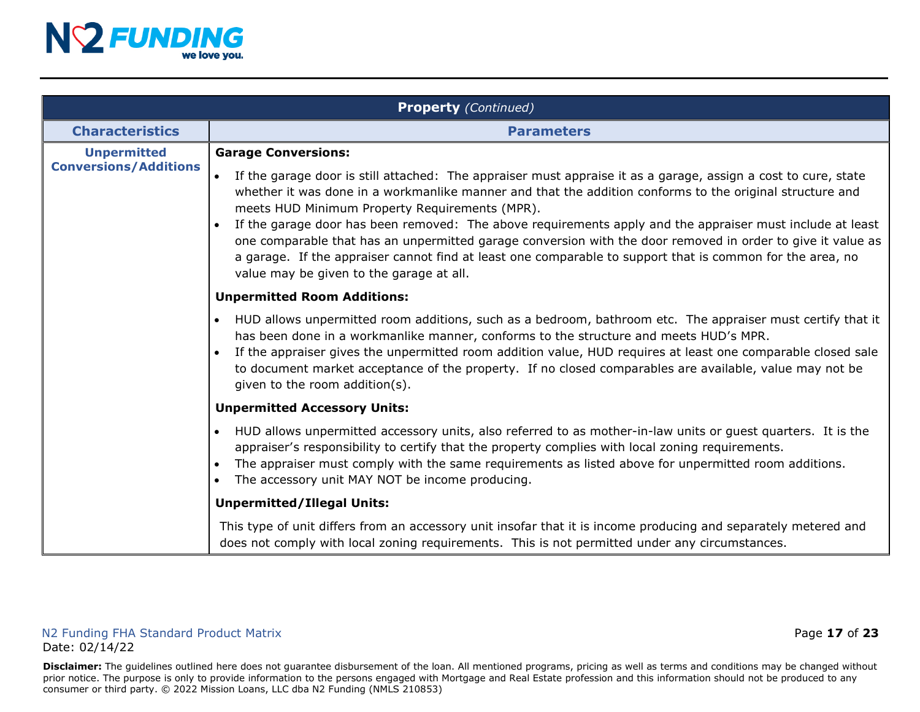

|                                                    | <b>Property</b> (Continued)                                                                                                                                                                                                                                                                                                                                                                                                                                                                |  |  |
|----------------------------------------------------|--------------------------------------------------------------------------------------------------------------------------------------------------------------------------------------------------------------------------------------------------------------------------------------------------------------------------------------------------------------------------------------------------------------------------------------------------------------------------------------------|--|--|
| <b>Characteristics</b>                             | <b>Parameters</b>                                                                                                                                                                                                                                                                                                                                                                                                                                                                          |  |  |
| <b>Unpermitted</b><br><b>Conversions/Additions</b> | <b>Garage Conversions:</b><br>If the garage door is still attached: The appraiser must appraise it as a garage, assign a cost to cure, state<br>$\bullet$<br>whether it was done in a workmanlike manner and that the addition conforms to the original structure and                                                                                                                                                                                                                      |  |  |
|                                                    | meets HUD Minimum Property Requirements (MPR).<br>If the garage door has been removed: The above requirements apply and the appraiser must include at least<br>one comparable that has an unpermitted garage conversion with the door removed in order to give it value as<br>a garage. If the appraiser cannot find at least one comparable to support that is common for the area, no<br>value may be given to the garage at all.                                                        |  |  |
|                                                    | <b>Unpermitted Room Additions:</b>                                                                                                                                                                                                                                                                                                                                                                                                                                                         |  |  |
|                                                    | HUD allows unpermitted room additions, such as a bedroom, bathroom etc. The appraiser must certify that it<br>$\bullet$<br>has been done in a workmanlike manner, conforms to the structure and meets HUD's MPR.<br>If the appraiser gives the unpermitted room addition value, HUD requires at least one comparable closed sale<br>$\bullet$<br>to document market acceptance of the property. If no closed comparables are available, value may not be<br>given to the room addition(s). |  |  |
|                                                    | <b>Unpermitted Accessory Units:</b>                                                                                                                                                                                                                                                                                                                                                                                                                                                        |  |  |
|                                                    | HUD allows unpermitted accessory units, also referred to as mother-in-law units or guest quarters. It is the<br>$\bullet$<br>appraiser's responsibility to certify that the property complies with local zoning requirements.<br>The appraiser must comply with the same requirements as listed above for unpermitted room additions.<br>$\bullet$<br>The accessory unit MAY NOT be income producing.<br>$\bullet$                                                                         |  |  |
|                                                    | <b>Unpermitted/Illegal Units:</b>                                                                                                                                                                                                                                                                                                                                                                                                                                                          |  |  |
|                                                    | This type of unit differs from an accessory unit insofar that it is income producing and separately metered and<br>does not comply with local zoning requirements. This is not permitted under any circumstances.                                                                                                                                                                                                                                                                          |  |  |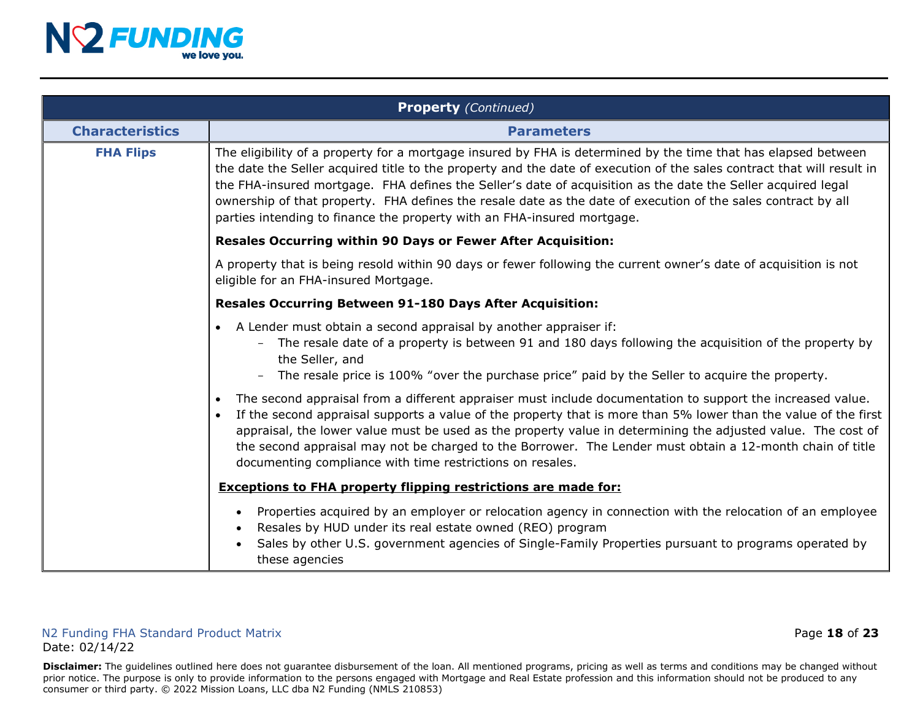

|                        | <b>Property</b> (Continued)                                                                                                                                                                                                                                                                                                                                                                                                                                                                                                                          |  |  |
|------------------------|------------------------------------------------------------------------------------------------------------------------------------------------------------------------------------------------------------------------------------------------------------------------------------------------------------------------------------------------------------------------------------------------------------------------------------------------------------------------------------------------------------------------------------------------------|--|--|
| <b>Characteristics</b> | <b>Parameters</b>                                                                                                                                                                                                                                                                                                                                                                                                                                                                                                                                    |  |  |
| <b>FHA Flips</b>       | The eligibility of a property for a mortgage insured by FHA is determined by the time that has elapsed between<br>the date the Seller acquired title to the property and the date of execution of the sales contract that will result in<br>the FHA-insured mortgage. FHA defines the Seller's date of acquisition as the date the Seller acquired legal<br>ownership of that property. FHA defines the resale date as the date of execution of the sales contract by all<br>parties intending to finance the property with an FHA-insured mortgage. |  |  |
|                        | Resales Occurring within 90 Days or Fewer After Acquisition:                                                                                                                                                                                                                                                                                                                                                                                                                                                                                         |  |  |
|                        | A property that is being resold within 90 days or fewer following the current owner's date of acquisition is not<br>eligible for an FHA-insured Mortgage.                                                                                                                                                                                                                                                                                                                                                                                            |  |  |
|                        | <b>Resales Occurring Between 91-180 Days After Acquisition:</b>                                                                                                                                                                                                                                                                                                                                                                                                                                                                                      |  |  |
|                        | • A Lender must obtain a second appraisal by another appraiser if:<br>The resale date of a property is between 91 and 180 days following the acquisition of the property by<br>the Seller, and<br>The resale price is 100% "over the purchase price" paid by the Seller to acquire the property.                                                                                                                                                                                                                                                     |  |  |
|                        | The second appraisal from a different appraiser must include documentation to support the increased value.<br>$\bullet$<br>If the second appraisal supports a value of the property that is more than 5% lower than the value of the first<br>$\bullet$<br>appraisal, the lower value must be used as the property value in determining the adjusted value. The cost of<br>the second appraisal may not be charged to the Borrower. The Lender must obtain a 12-month chain of title<br>documenting compliance with time restrictions on resales.    |  |  |
|                        | <b>Exceptions to FHA property flipping restrictions are made for:</b>                                                                                                                                                                                                                                                                                                                                                                                                                                                                                |  |  |
|                        | Properties acquired by an employer or relocation agency in connection with the relocation of an employee<br>$\bullet$<br>Resales by HUD under its real estate owned (REO) program<br>Sales by other U.S. government agencies of Single-Family Properties pursuant to programs operated by<br>these agencies                                                                                                                                                                                                                                          |  |  |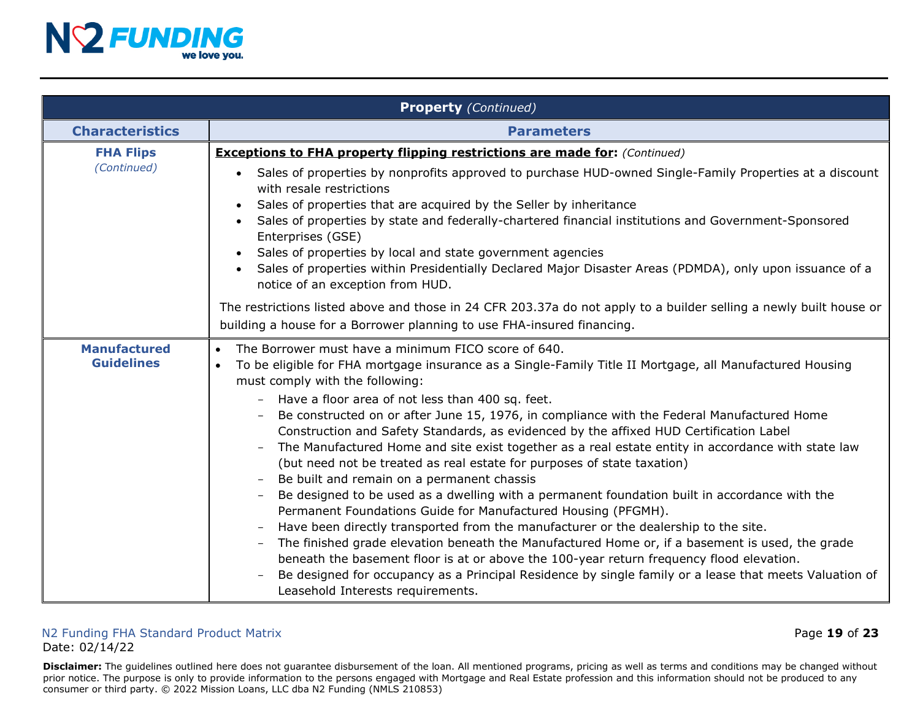

<span id="page-18-0"></span>

|                                          | <b>Property</b> (Continued)                                                                                                                                                                                                                                                                                                                                                                                                                                                                                                                                                                                                                                                                                                                                                                                                                                                                                                                                                                                                                                                                                                                                                                                                                                                                                    |  |  |
|------------------------------------------|----------------------------------------------------------------------------------------------------------------------------------------------------------------------------------------------------------------------------------------------------------------------------------------------------------------------------------------------------------------------------------------------------------------------------------------------------------------------------------------------------------------------------------------------------------------------------------------------------------------------------------------------------------------------------------------------------------------------------------------------------------------------------------------------------------------------------------------------------------------------------------------------------------------------------------------------------------------------------------------------------------------------------------------------------------------------------------------------------------------------------------------------------------------------------------------------------------------------------------------------------------------------------------------------------------------|--|--|
| <b>Characteristics</b>                   | <b>Parameters</b>                                                                                                                                                                                                                                                                                                                                                                                                                                                                                                                                                                                                                                                                                                                                                                                                                                                                                                                                                                                                                                                                                                                                                                                                                                                                                              |  |  |
| <b>FHA Flips</b><br>(Continued)          | <b>Exceptions to FHA property flipping restrictions are made for:</b> (Continued)<br>Sales of properties by nonprofits approved to purchase HUD-owned Single-Family Properties at a discount<br>$\bullet$<br>with resale restrictions<br>Sales of properties that are acquired by the Seller by inheritance<br>Sales of properties by state and federally-chartered financial institutions and Government-Sponsored<br>$\bullet$<br>Enterprises (GSE)<br>Sales of properties by local and state government agencies<br>Sales of properties within Presidentially Declared Major Disaster Areas (PDMDA), only upon issuance of a<br>notice of an exception from HUD.                                                                                                                                                                                                                                                                                                                                                                                                                                                                                                                                                                                                                                            |  |  |
|                                          | The restrictions listed above and those in 24 CFR 203.37a do not apply to a builder selling a newly built house or<br>building a house for a Borrower planning to use FHA-insured financing.                                                                                                                                                                                                                                                                                                                                                                                                                                                                                                                                                                                                                                                                                                                                                                                                                                                                                                                                                                                                                                                                                                                   |  |  |
| <b>Manufactured</b><br><b>Guidelines</b> | The Borrower must have a minimum FICO score of 640.<br>$\bullet$<br>To be eligible for FHA mortgage insurance as a Single-Family Title II Mortgage, all Manufactured Housing<br>$\bullet$<br>must comply with the following:<br>Have a floor area of not less than 400 sq. feet.<br>Be constructed on or after June 15, 1976, in compliance with the Federal Manufactured Home<br>Construction and Safety Standards, as evidenced by the affixed HUD Certification Label<br>The Manufactured Home and site exist together as a real estate entity in accordance with state law<br>(but need not be treated as real estate for purposes of state taxation)<br>Be built and remain on a permanent chassis<br>Be designed to be used as a dwelling with a permanent foundation built in accordance with the<br>Permanent Foundations Guide for Manufactured Housing (PFGMH).<br>Have been directly transported from the manufacturer or the dealership to the site.<br>The finished grade elevation beneath the Manufactured Home or, if a basement is used, the grade<br>beneath the basement floor is at or above the 100-year return frequency flood elevation.<br>Be designed for occupancy as a Principal Residence by single family or a lease that meets Valuation of<br>Leasehold Interests requirements. |  |  |

#### N2 Funding FHA Standard Product Matrix **Page 19 of 23** and  $\overline{a}$  Page 19 of 23 Date: 02/14/22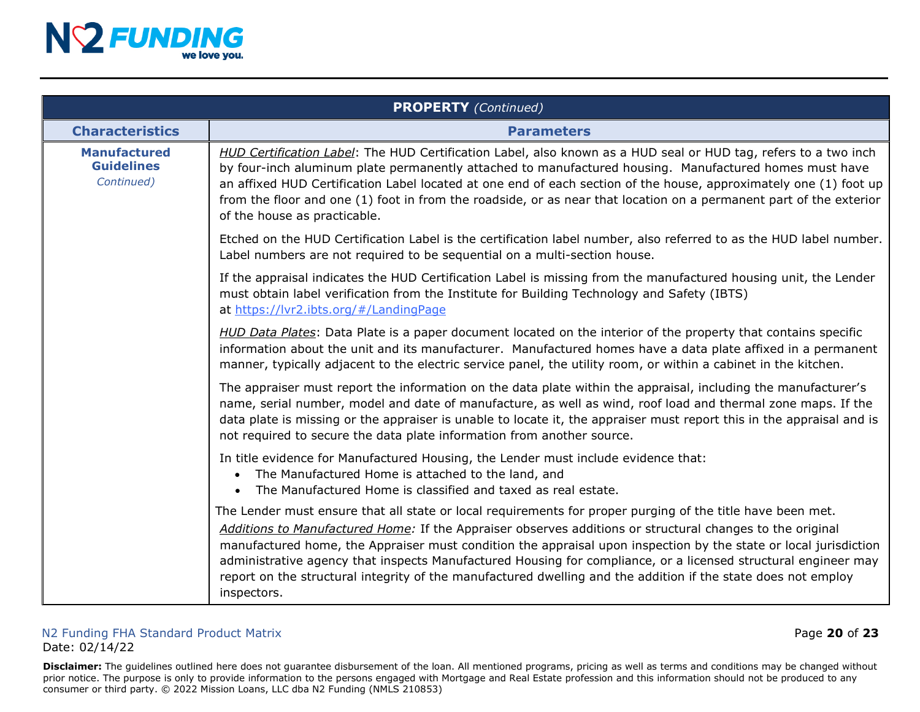

|                                                        | <b>PROPERTY</b> (Continued)                                                                                                                                                                                                                                                                                                                                                                                                                                                                                                                                                                   |  |  |
|--------------------------------------------------------|-----------------------------------------------------------------------------------------------------------------------------------------------------------------------------------------------------------------------------------------------------------------------------------------------------------------------------------------------------------------------------------------------------------------------------------------------------------------------------------------------------------------------------------------------------------------------------------------------|--|--|
| <b>Characteristics</b>                                 | <b>Parameters</b>                                                                                                                                                                                                                                                                                                                                                                                                                                                                                                                                                                             |  |  |
| <b>Manufactured</b><br><b>Guidelines</b><br>Continued) | HUD Certification Label: The HUD Certification Label, also known as a HUD seal or HUD tag, refers to a two inch<br>by four-inch aluminum plate permanently attached to manufactured housing. Manufactured homes must have<br>an affixed HUD Certification Label located at one end of each section of the house, approximately one (1) foot up<br>from the floor and one (1) foot in from the roadside, or as near that location on a permanent part of the exterior<br>of the house as practicable.                                                                                          |  |  |
|                                                        | Etched on the HUD Certification Label is the certification label number, also referred to as the HUD label number.<br>Label numbers are not required to be sequential on a multi-section house.                                                                                                                                                                                                                                                                                                                                                                                               |  |  |
|                                                        | If the appraisal indicates the HUD Certification Label is missing from the manufactured housing unit, the Lender<br>must obtain label verification from the Institute for Building Technology and Safety (IBTS)<br>at https://lvr2.ibts.org/#/LandingPage                                                                                                                                                                                                                                                                                                                                     |  |  |
|                                                        | HUD Data Plates: Data Plate is a paper document located on the interior of the property that contains specific<br>information about the unit and its manufacturer. Manufactured homes have a data plate affixed in a permanent<br>manner, typically adjacent to the electric service panel, the utility room, or within a cabinet in the kitchen.                                                                                                                                                                                                                                             |  |  |
|                                                        | The appraiser must report the information on the data plate within the appraisal, including the manufacturer's<br>name, serial number, model and date of manufacture, as well as wind, roof load and thermal zone maps. If the<br>data plate is missing or the appraiser is unable to locate it, the appraiser must report this in the appraisal and is<br>not required to secure the data plate information from another source.                                                                                                                                                             |  |  |
|                                                        | In title evidence for Manufactured Housing, the Lender must include evidence that:<br>The Manufactured Home is attached to the land, and<br>The Manufactured Home is classified and taxed as real estate.<br>$\bullet$                                                                                                                                                                                                                                                                                                                                                                        |  |  |
|                                                        | The Lender must ensure that all state or local requirements for proper purging of the title have been met.<br>Additions to Manufactured Home: If the Appraiser observes additions or structural changes to the original<br>manufactured home, the Appraiser must condition the appraisal upon inspection by the state or local jurisdiction<br>administrative agency that inspects Manufactured Housing for compliance, or a licensed structural engineer may<br>report on the structural integrity of the manufactured dwelling and the addition if the state does not employ<br>inspectors. |  |  |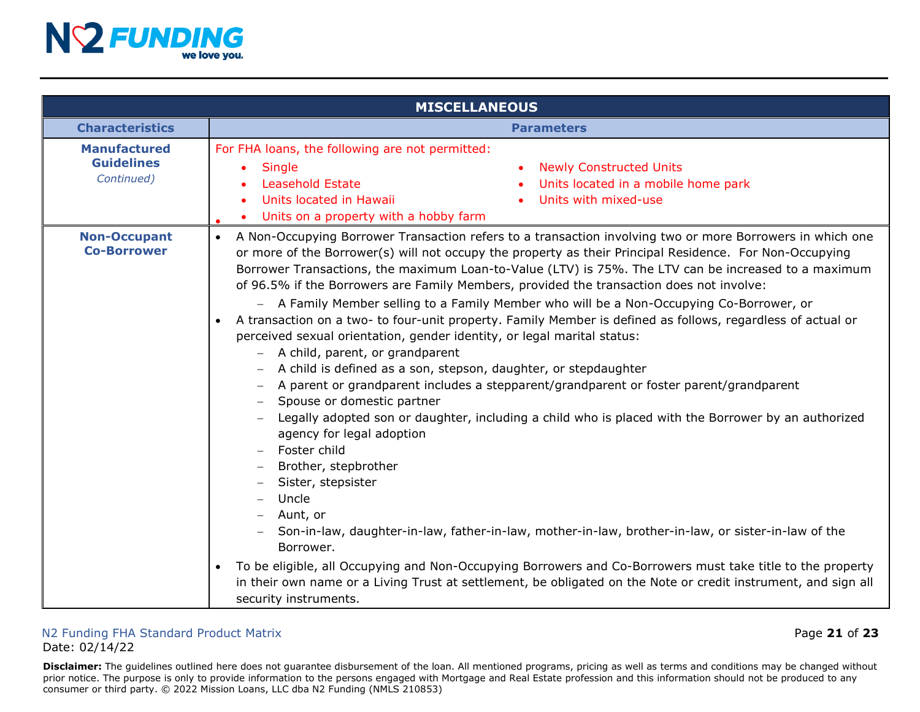

|                                                        | <b>MISCELLANEOUS</b>                                                                                                                                                                                                                                                                                                                                                                                                                                                                                                                                                                                                                                                                                                                                                                                                                                                                                                                                                                                                                                                                                                                                                                                                                                                                                                                                                                                                                                                                                                                                                                   |
|--------------------------------------------------------|----------------------------------------------------------------------------------------------------------------------------------------------------------------------------------------------------------------------------------------------------------------------------------------------------------------------------------------------------------------------------------------------------------------------------------------------------------------------------------------------------------------------------------------------------------------------------------------------------------------------------------------------------------------------------------------------------------------------------------------------------------------------------------------------------------------------------------------------------------------------------------------------------------------------------------------------------------------------------------------------------------------------------------------------------------------------------------------------------------------------------------------------------------------------------------------------------------------------------------------------------------------------------------------------------------------------------------------------------------------------------------------------------------------------------------------------------------------------------------------------------------------------------------------------------------------------------------------|
| <b>Characteristics</b>                                 | <b>Parameters</b>                                                                                                                                                                                                                                                                                                                                                                                                                                                                                                                                                                                                                                                                                                                                                                                                                                                                                                                                                                                                                                                                                                                                                                                                                                                                                                                                                                                                                                                                                                                                                                      |
| <b>Manufactured</b><br><b>Guidelines</b><br>Continued) | For FHA loans, the following are not permitted:<br><b>Single</b><br><b>Newly Constructed Units</b><br><b>Leasehold Estate</b><br>Units located in a mobile home park<br>Units with mixed-use<br>Units located in Hawaii<br>$\bullet$<br>Units on a property with a hobby farm                                                                                                                                                                                                                                                                                                                                                                                                                                                                                                                                                                                                                                                                                                                                                                                                                                                                                                                                                                                                                                                                                                                                                                                                                                                                                                          |
| <b>Non-Occupant</b><br><b>Co-Borrower</b>              | A Non-Occupying Borrower Transaction refers to a transaction involving two or more Borrowers in which one<br>$\bullet$<br>or more of the Borrower(s) will not occupy the property as their Principal Residence. For Non-Occupying<br>Borrower Transactions, the maximum Loan-to-Value (LTV) is 75%. The LTV can be increased to a maximum<br>of 96.5% if the Borrowers are Family Members, provided the transaction does not involve:<br>A Family Member selling to a Family Member who will be a Non-Occupying Co-Borrower, or<br>A transaction on a two- to four-unit property. Family Member is defined as follows, regardless of actual or<br>$\bullet$<br>perceived sexual orientation, gender identity, or legal marital status:<br>- A child, parent, or grandparent<br>A child is defined as a son, stepson, daughter, or stepdaughter<br>A parent or grandparent includes a stepparent/grandparent or foster parent/grandparent<br>Spouse or domestic partner<br>Legally adopted son or daughter, including a child who is placed with the Borrower by an authorized<br>agency for legal adoption<br>Foster child<br>Brother, stepbrother<br>Sister, stepsister<br>Uncle<br>Aunt, or<br>Son-in-law, daughter-in-law, father-in-law, mother-in-law, brother-in-law, or sister-in-law of the<br>Borrower.<br>To be eligible, all Occupying and Non-Occupying Borrowers and Co-Borrowers must take title to the property<br>$\bullet$<br>in their own name or a Living Trust at settlement, be obligated on the Note or credit instrument, and sign all<br>security instruments. |

#### N2 Funding FHA Standard Product Matrix Page **21** of **23** Date: 02/14/22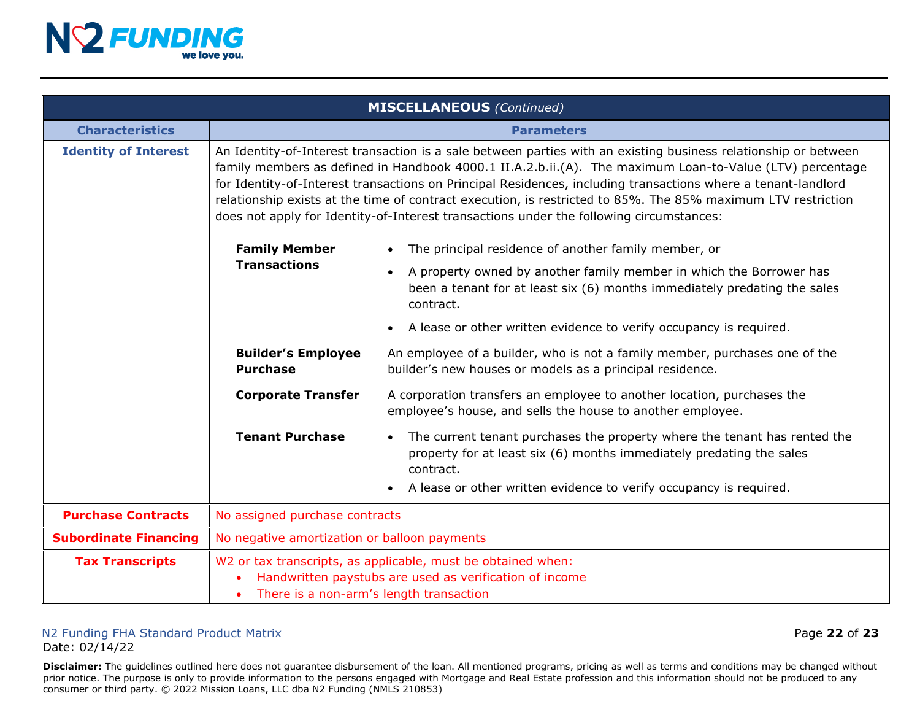

| <b>MISCELLANEOUS</b> (Continued) |                                                                                                                                                                                                                                                                                                                                                                                                                                                                                                                                                         |                                                                                                                                                                                                                                                                |
|----------------------------------|---------------------------------------------------------------------------------------------------------------------------------------------------------------------------------------------------------------------------------------------------------------------------------------------------------------------------------------------------------------------------------------------------------------------------------------------------------------------------------------------------------------------------------------------------------|----------------------------------------------------------------------------------------------------------------------------------------------------------------------------------------------------------------------------------------------------------------|
| <b>Characteristics</b>           | <b>Parameters</b>                                                                                                                                                                                                                                                                                                                                                                                                                                                                                                                                       |                                                                                                                                                                                                                                                                |
| <b>Identity of Interest</b>      | An Identity-of-Interest transaction is a sale between parties with an existing business relationship or between<br>family members as defined in Handbook 4000.1 II.A.2.b.ii.(A). The maximum Loan-to-Value (LTV) percentage<br>for Identity-of-Interest transactions on Principal Residences, including transactions where a tenant-landlord<br>relationship exists at the time of contract execution, is restricted to 85%. The 85% maximum LTV restriction<br>does not apply for Identity-of-Interest transactions under the following circumstances: |                                                                                                                                                                                                                                                                |
|                                  | <b>Family Member</b>                                                                                                                                                                                                                                                                                                                                                                                                                                                                                                                                    | The principal residence of another family member, or                                                                                                                                                                                                           |
|                                  | <b>Transactions</b>                                                                                                                                                                                                                                                                                                                                                                                                                                                                                                                                     | A property owned by another family member in which the Borrower has<br>$\bullet$<br>been a tenant for at least six (6) months immediately predating the sales<br>contract.                                                                                     |
|                                  |                                                                                                                                                                                                                                                                                                                                                                                                                                                                                                                                                         | A lease or other written evidence to verify occupancy is required.<br>$\bullet$                                                                                                                                                                                |
|                                  | <b>Builder's Employee</b><br><b>Purchase</b>                                                                                                                                                                                                                                                                                                                                                                                                                                                                                                            | An employee of a builder, who is not a family member, purchases one of the<br>builder's new houses or models as a principal residence.                                                                                                                         |
|                                  | <b>Corporate Transfer</b>                                                                                                                                                                                                                                                                                                                                                                                                                                                                                                                               | A corporation transfers an employee to another location, purchases the<br>employee's house, and sells the house to another employee.                                                                                                                           |
|                                  | <b>Tenant Purchase</b>                                                                                                                                                                                                                                                                                                                                                                                                                                                                                                                                  | The current tenant purchases the property where the tenant has rented the<br>$\bullet$<br>property for at least six (6) months immediately predating the sales<br>contract.<br>A lease or other written evidence to verify occupancy is required.<br>$\bullet$ |
| <b>Purchase Contracts</b>        | No assigned purchase contracts                                                                                                                                                                                                                                                                                                                                                                                                                                                                                                                          |                                                                                                                                                                                                                                                                |
| <b>Subordinate Financing</b>     | No negative amortization or balloon payments                                                                                                                                                                                                                                                                                                                                                                                                                                                                                                            |                                                                                                                                                                                                                                                                |
| <b>Tax Transcripts</b>           | W2 or tax transcripts, as applicable, must be obtained when:<br>Handwritten paystubs are used as verification of income<br>There is a non-arm's length transaction                                                                                                                                                                                                                                                                                                                                                                                      |                                                                                                                                                                                                                                                                |

### N2 Funding FHA Standard Product Matrix Page **22** of **23**

Date: 02/14/22